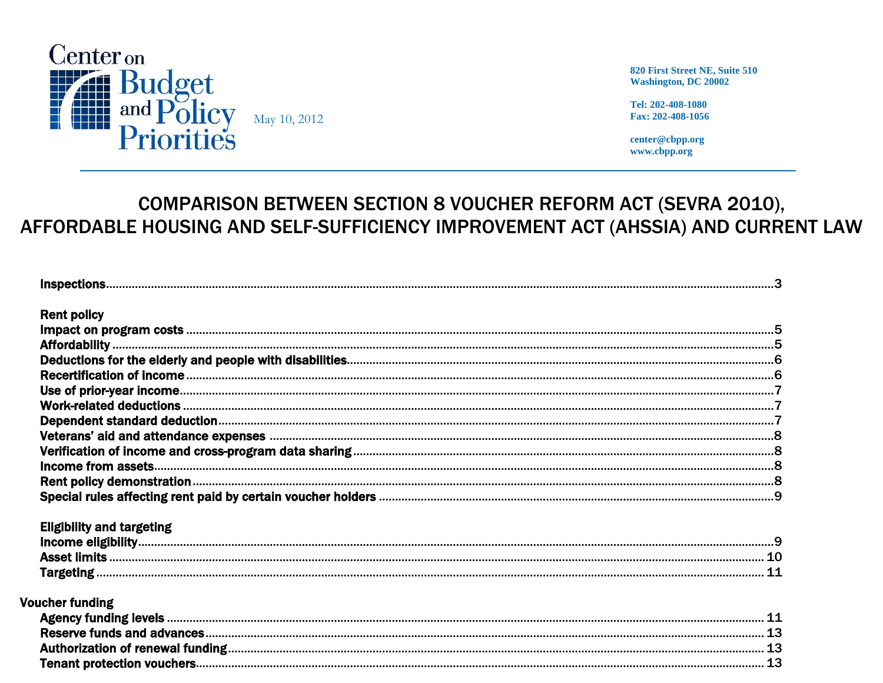

820 First Street NE, Suite 510 **Washington, DC 20002** 

Tel: 202-408-1080 Fax: 202-408-1056

center@cbpp.org www.cbpp.org

# **COMPARISON BETWEEN SECTION 8 VOUCHER REFORM ACT (SEVRA 2010),** AFFORDABLE HOUSING AND SELF-SUFFICIENCY IMPROVEMENT ACT (AHSSIA) AND CURRENT LAW

| <b>Rent policy</b>               |  |
|----------------------------------|--|
|                                  |  |
|                                  |  |
|                                  |  |
|                                  |  |
|                                  |  |
|                                  |  |
|                                  |  |
|                                  |  |
|                                  |  |
|                                  |  |
|                                  |  |
|                                  |  |
| <b>Eligibility and targeting</b> |  |
|                                  |  |
|                                  |  |
|                                  |  |
| <b>Voucher funding</b>           |  |
|                                  |  |
|                                  |  |
|                                  |  |
|                                  |  |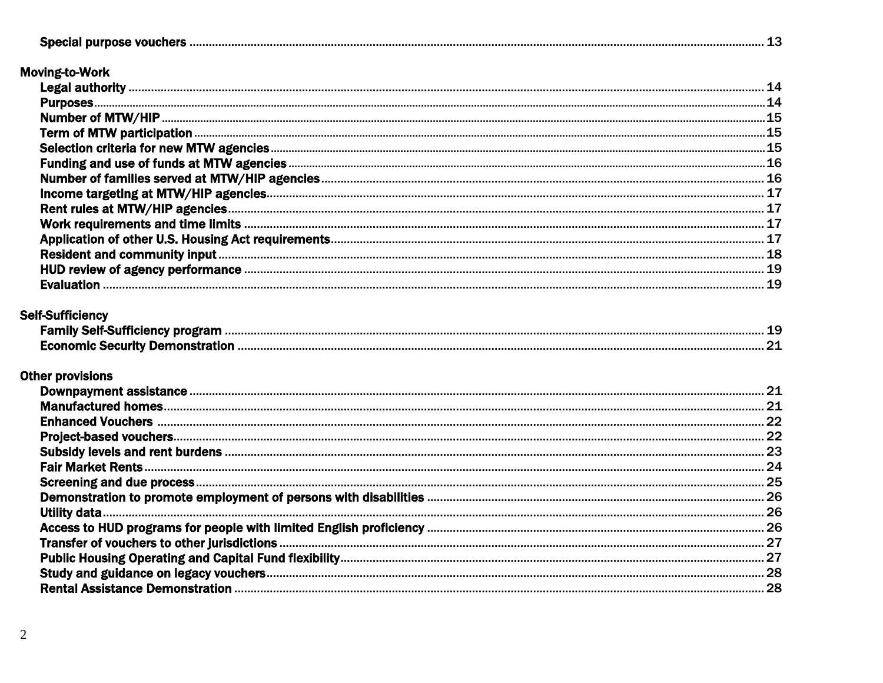### **Moving-to-Work**

|  | . 15 |  |
|--|------|--|
|  |      |  |
|  |      |  |
|  |      |  |
|  |      |  |
|  |      |  |
|  |      |  |
|  |      |  |
|  |      |  |
|  |      |  |
|  |      |  |
|  |      |  |

#### **Self-Sufficiency**

| sen eannenne, pregiann    |  |
|---------------------------|--|
| -conomic Security Dements |  |

### **Other provisions**

| 21  |
|-----|
| .22 |
|     |
|     |
|     |
| .25 |
|     |
|     |
|     |
|     |
| .27 |
| .28 |
|     |
|     |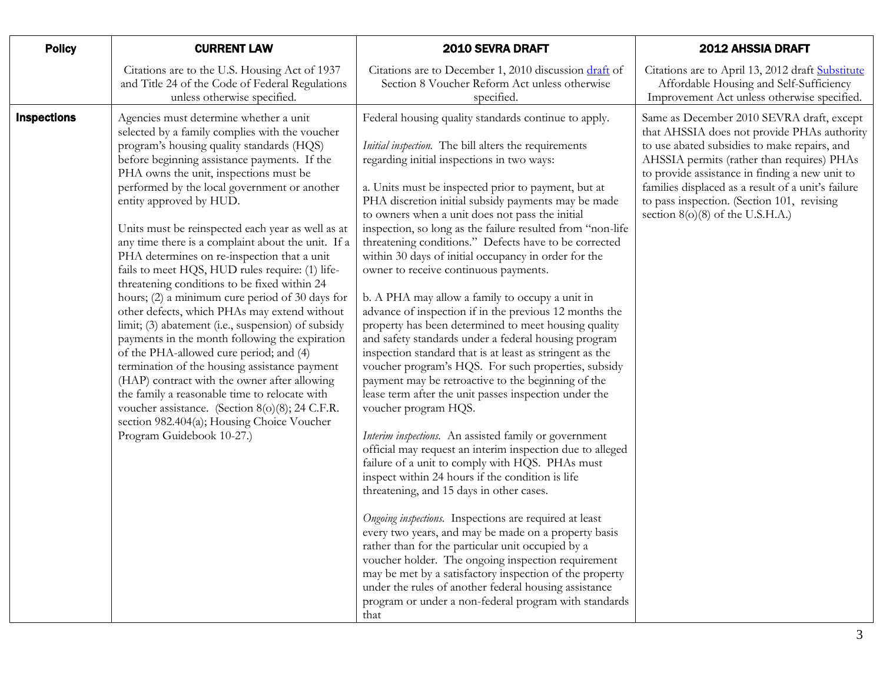<span id="page-2-0"></span>

| <b>Policy</b>      | <b>CURRENT LAW</b>                                                                                                                                                                                                                                                                                                                                                                                                                                                                                                                                                                                                                                                                                                                                                                                                                                                                                                                                                                                                                                                                                            | 2010 SEVRA DRAFT                                                                                                                                                                                                                                                                                                                                                                                                                                                                                                                                                                                                                                                                                                                                                                                                                                                                                                                                                                                                                                                                                                                                                                                                                                                                                                                                                                                                                                                                                                                                                                                                                                                                                                                              | <b>2012 AHSSIA DRAFT</b>                                                                                                                                                                                                                                                                                                                                                         |
|--------------------|---------------------------------------------------------------------------------------------------------------------------------------------------------------------------------------------------------------------------------------------------------------------------------------------------------------------------------------------------------------------------------------------------------------------------------------------------------------------------------------------------------------------------------------------------------------------------------------------------------------------------------------------------------------------------------------------------------------------------------------------------------------------------------------------------------------------------------------------------------------------------------------------------------------------------------------------------------------------------------------------------------------------------------------------------------------------------------------------------------------|-----------------------------------------------------------------------------------------------------------------------------------------------------------------------------------------------------------------------------------------------------------------------------------------------------------------------------------------------------------------------------------------------------------------------------------------------------------------------------------------------------------------------------------------------------------------------------------------------------------------------------------------------------------------------------------------------------------------------------------------------------------------------------------------------------------------------------------------------------------------------------------------------------------------------------------------------------------------------------------------------------------------------------------------------------------------------------------------------------------------------------------------------------------------------------------------------------------------------------------------------------------------------------------------------------------------------------------------------------------------------------------------------------------------------------------------------------------------------------------------------------------------------------------------------------------------------------------------------------------------------------------------------------------------------------------------------------------------------------------------------|----------------------------------------------------------------------------------------------------------------------------------------------------------------------------------------------------------------------------------------------------------------------------------------------------------------------------------------------------------------------------------|
|                    | Citations are to the U.S. Housing Act of 1937<br>and Title 24 of the Code of Federal Regulations<br>unless otherwise specified.                                                                                                                                                                                                                                                                                                                                                                                                                                                                                                                                                                                                                                                                                                                                                                                                                                                                                                                                                                               | Citations are to December 1, 2010 discussion draft of<br>Section 8 Voucher Reform Act unless otherwise<br>specified.                                                                                                                                                                                                                                                                                                                                                                                                                                                                                                                                                                                                                                                                                                                                                                                                                                                                                                                                                                                                                                                                                                                                                                                                                                                                                                                                                                                                                                                                                                                                                                                                                          | Citations are to April 13, 2012 draft Substitute<br>Affordable Housing and Self-Sufficiency<br>Improvement Act unless otherwise specified.                                                                                                                                                                                                                                       |
| <b>Inspections</b> | Agencies must determine whether a unit<br>selected by a family complies with the voucher<br>program's housing quality standards (HQS)<br>before beginning assistance payments. If the<br>PHA owns the unit, inspections must be<br>performed by the local government or another<br>entity approved by HUD.<br>Units must be reinspected each year as well as at<br>any time there is a complaint about the unit. If a<br>PHA determines on re-inspection that a unit<br>fails to meet HQS, HUD rules require: (1) life-<br>threatening conditions to be fixed within 24<br>hours; (2) a minimum cure period of 30 days for<br>other defects, which PHAs may extend without<br>limit; (3) abatement (i.e., suspension) of subsidy<br>payments in the month following the expiration<br>of the PHA-allowed cure period; and (4)<br>termination of the housing assistance payment<br>(HAP) contract with the owner after allowing<br>the family a reasonable time to relocate with<br>voucher assistance. (Section 8(o)(8); 24 C.F.R.<br>section 982.404(a); Housing Choice Voucher<br>Program Guidebook 10-27.) | Federal housing quality standards continue to apply.<br><i>Initial inspection</i> . The bill alters the requirements<br>regarding initial inspections in two ways:<br>a. Units must be inspected prior to payment, but at<br>PHA discretion initial subsidy payments may be made<br>to owners when a unit does not pass the initial<br>inspection, so long as the failure resulted from "non-life<br>threatening conditions." Defects have to be corrected<br>within 30 days of initial occupancy in order for the<br>owner to receive continuous payments.<br>b. A PHA may allow a family to occupy a unit in<br>advance of inspection if in the previous 12 months the<br>property has been determined to meet housing quality<br>and safety standards under a federal housing program<br>inspection standard that is at least as stringent as the<br>voucher program's HQS. For such properties, subsidy<br>payment may be retroactive to the beginning of the<br>lease term after the unit passes inspection under the<br>voucher program HQS.<br>Interim inspections. An assisted family or government<br>official may request an interim inspection due to alleged<br>failure of a unit to comply with HQS. PHAs must<br>inspect within 24 hours if the condition is life<br>threatening, and 15 days in other cases.<br>Ongoing inspections. Inspections are required at least<br>every two years, and may be made on a property basis<br>rather than for the particular unit occupied by a<br>voucher holder. The ongoing inspection requirement<br>may be met by a satisfactory inspection of the property<br>under the rules of another federal housing assistance<br>program or under a non-federal program with standards<br>that | Same as December 2010 SEVRA draft, except<br>that AHSSIA does not provide PHAs authority<br>to use abated subsidies to make repairs, and<br>AHSSIA permits (rather than requires) PHAs<br>to provide assistance in finding a new unit to<br>families displaced as a result of a unit's failure<br>to pass inspection. (Section 101, revising<br>section 8(o)(8) of the U.S.H.A.) |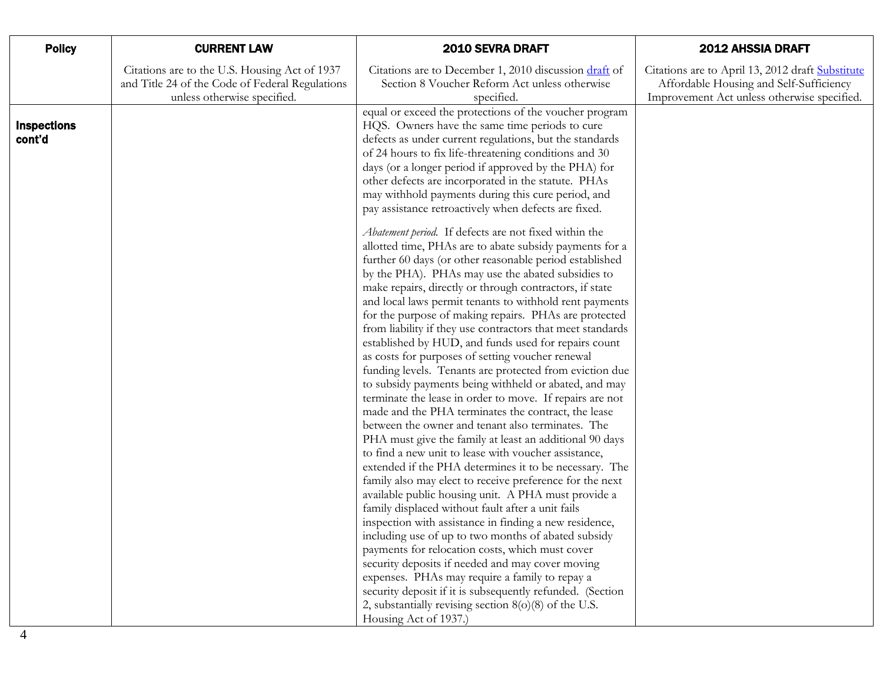| <b>Policy</b>                | <b>CURRENT LAW</b>                                                                                                              | 2010 SEVRA DRAFT                                                                                                                                                                                                                                                                                                                                                                                                                                                                                                                                                                                                                                                                                                                                                                                                                                                                                                                                                                                                                                                                                                                                                                                                                                                                                                                                            | <b>2012 AHSSIA DRAFT</b>                                                                                                                   |
|------------------------------|---------------------------------------------------------------------------------------------------------------------------------|-------------------------------------------------------------------------------------------------------------------------------------------------------------------------------------------------------------------------------------------------------------------------------------------------------------------------------------------------------------------------------------------------------------------------------------------------------------------------------------------------------------------------------------------------------------------------------------------------------------------------------------------------------------------------------------------------------------------------------------------------------------------------------------------------------------------------------------------------------------------------------------------------------------------------------------------------------------------------------------------------------------------------------------------------------------------------------------------------------------------------------------------------------------------------------------------------------------------------------------------------------------------------------------------------------------------------------------------------------------|--------------------------------------------------------------------------------------------------------------------------------------------|
|                              | Citations are to the U.S. Housing Act of 1937<br>and Title 24 of the Code of Federal Regulations<br>unless otherwise specified. | Citations are to December 1, 2010 discussion draft of<br>Section 8 Voucher Reform Act unless otherwise<br>specified.                                                                                                                                                                                                                                                                                                                                                                                                                                                                                                                                                                                                                                                                                                                                                                                                                                                                                                                                                                                                                                                                                                                                                                                                                                        | Citations are to April 13, 2012 draft Substitute<br>Affordable Housing and Self-Sufficiency<br>Improvement Act unless otherwise specified. |
| <b>Inspections</b><br>cont'd |                                                                                                                                 | equal or exceed the protections of the voucher program<br>HQS. Owners have the same time periods to cure<br>defects as under current regulations, but the standards<br>of 24 hours to fix life-threatening conditions and 30<br>days (or a longer period if approved by the PHA) for<br>other defects are incorporated in the statute. PHAs<br>may withhold payments during this cure period, and<br>pay assistance retroactively when defects are fixed.                                                                                                                                                                                                                                                                                                                                                                                                                                                                                                                                                                                                                                                                                                                                                                                                                                                                                                   |                                                                                                                                            |
|                              |                                                                                                                                 | Abatement period. If defects are not fixed within the<br>allotted time, PHAs are to abate subsidy payments for a<br>further 60 days (or other reasonable period established<br>by the PHA). PHAs may use the abated subsidies to<br>make repairs, directly or through contractors, if state<br>and local laws permit tenants to withhold rent payments<br>for the purpose of making repairs. PHAs are protected<br>from liability if they use contractors that meet standards<br>established by HUD, and funds used for repairs count<br>as costs for purposes of setting voucher renewal<br>funding levels. Tenants are protected from eviction due<br>to subsidy payments being withheld or abated, and may<br>terminate the lease in order to move. If repairs are not<br>made and the PHA terminates the contract, the lease<br>between the owner and tenant also terminates. The<br>PHA must give the family at least an additional 90 days<br>to find a new unit to lease with voucher assistance,<br>extended if the PHA determines it to be necessary. The<br>family also may elect to receive preference for the next<br>available public housing unit. A PHA must provide a<br>family displaced without fault after a unit fails<br>inspection with assistance in finding a new residence,<br>including use of up to two months of abated subsidy |                                                                                                                                            |
|                              |                                                                                                                                 | payments for relocation costs, which must cover<br>security deposits if needed and may cover moving<br>expenses. PHAs may require a family to repay a<br>security deposit if it is subsequently refunded. (Section<br>2, substantially revising section $8(0)(8)$ of the U.S.<br>Housing Act of 1937.)                                                                                                                                                                                                                                                                                                                                                                                                                                                                                                                                                                                                                                                                                                                                                                                                                                                                                                                                                                                                                                                      |                                                                                                                                            |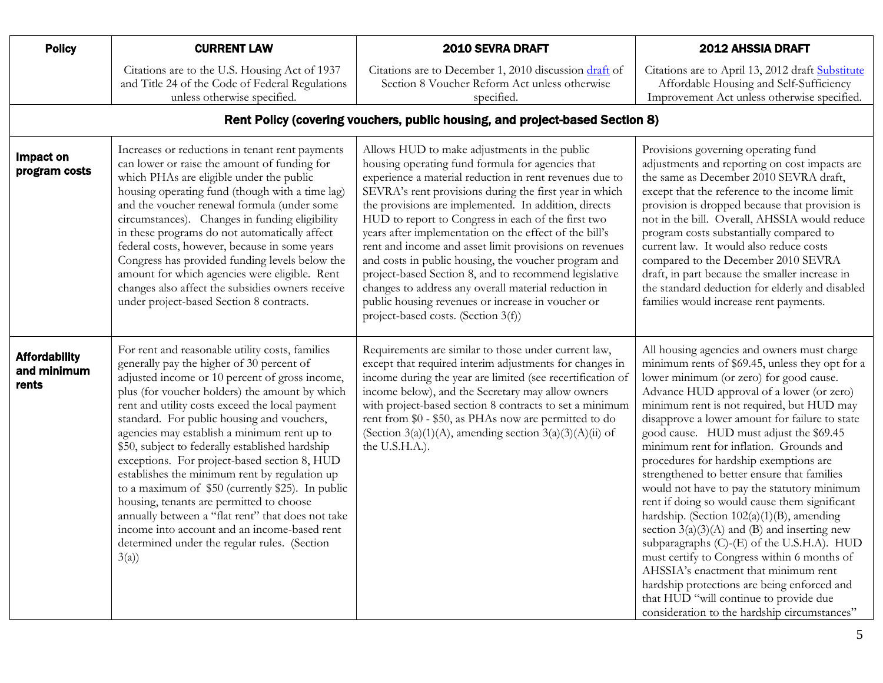<span id="page-4-2"></span><span id="page-4-1"></span><span id="page-4-0"></span>

| <b>Policy</b>                                | <b>CURRENT LAW</b>                                                                                                                                                                                                                                                                                                                                                                                                                                                                                                                                                                                                                                                                                                                                                | 2010 SEVRA DRAFT                                                                                                                                                                                                                                                                                                                                                                                                                                                                                                                                                                                                                                                                                                             | <b>2012 AHSSIA DRAFT</b>                                                                                                                                                                                                                                                                                                                                                                                                                                                                                                                                                                                                                                                                                                                                                                                                                                                                                                                               |
|----------------------------------------------|-------------------------------------------------------------------------------------------------------------------------------------------------------------------------------------------------------------------------------------------------------------------------------------------------------------------------------------------------------------------------------------------------------------------------------------------------------------------------------------------------------------------------------------------------------------------------------------------------------------------------------------------------------------------------------------------------------------------------------------------------------------------|------------------------------------------------------------------------------------------------------------------------------------------------------------------------------------------------------------------------------------------------------------------------------------------------------------------------------------------------------------------------------------------------------------------------------------------------------------------------------------------------------------------------------------------------------------------------------------------------------------------------------------------------------------------------------------------------------------------------------|--------------------------------------------------------------------------------------------------------------------------------------------------------------------------------------------------------------------------------------------------------------------------------------------------------------------------------------------------------------------------------------------------------------------------------------------------------------------------------------------------------------------------------------------------------------------------------------------------------------------------------------------------------------------------------------------------------------------------------------------------------------------------------------------------------------------------------------------------------------------------------------------------------------------------------------------------------|
|                                              | Citations are to the U.S. Housing Act of 1937<br>and Title 24 of the Code of Federal Regulations<br>unless otherwise specified.                                                                                                                                                                                                                                                                                                                                                                                                                                                                                                                                                                                                                                   | Citations are to December 1, 2010 discussion draft of<br>Section 8 Voucher Reform Act unless otherwise<br>specified.                                                                                                                                                                                                                                                                                                                                                                                                                                                                                                                                                                                                         | Citations are to April 13, 2012 draft Substitute<br>Affordable Housing and Self-Sufficiency<br>Improvement Act unless otherwise specified.                                                                                                                                                                                                                                                                                                                                                                                                                                                                                                                                                                                                                                                                                                                                                                                                             |
|                                              |                                                                                                                                                                                                                                                                                                                                                                                                                                                                                                                                                                                                                                                                                                                                                                   | Rent Policy (covering vouchers, public housing, and project-based Section 8)                                                                                                                                                                                                                                                                                                                                                                                                                                                                                                                                                                                                                                                 |                                                                                                                                                                                                                                                                                                                                                                                                                                                                                                                                                                                                                                                                                                                                                                                                                                                                                                                                                        |
| Impact on<br>program costs                   | Increases or reductions in tenant rent payments<br>can lower or raise the amount of funding for<br>which PHAs are eligible under the public<br>housing operating fund (though with a time lag)<br>and the voucher renewal formula (under some<br>circumstances). Changes in funding eligibility<br>in these programs do not automatically affect<br>federal costs, however, because in some years<br>Congress has provided funding levels below the<br>amount for which agencies were eligible. Rent<br>changes also affect the subsidies owners receive<br>under project-based Section 8 contracts.                                                                                                                                                              | Allows HUD to make adjustments in the public<br>housing operating fund formula for agencies that<br>experience a material reduction in rent revenues due to<br>SEVRA's rent provisions during the first year in which<br>the provisions are implemented. In addition, directs<br>HUD to report to Congress in each of the first two<br>years after implementation on the effect of the bill's<br>rent and income and asset limit provisions on revenues<br>and costs in public housing, the voucher program and<br>project-based Section 8, and to recommend legislative<br>changes to address any overall material reduction in<br>public housing revenues or increase in voucher or<br>project-based costs. (Section 3(f)) | Provisions governing operating fund<br>adjustments and reporting on cost impacts are<br>the same as December 2010 SEVRA draft,<br>except that the reference to the income limit<br>provision is dropped because that provision is<br>not in the bill. Overall, AHSSIA would reduce<br>program costs substantially compared to<br>current law. It would also reduce costs<br>compared to the December 2010 SEVRA<br>draft, in part because the smaller increase in<br>the standard deduction for elderly and disabled<br>families would increase rent payments.                                                                                                                                                                                                                                                                                                                                                                                         |
| <b>Affordability</b><br>and minimum<br>rents | For rent and reasonable utility costs, families<br>generally pay the higher of 30 percent of<br>adjusted income or 10 percent of gross income,<br>plus (for voucher holders) the amount by which<br>rent and utility costs exceed the local payment<br>standard. For public housing and vouchers,<br>agencies may establish a minimum rent up to<br>\$50, subject to federally established hardship<br>exceptions. For project-based section 8, HUD<br>establishes the minimum rent by regulation up<br>to a maximum of \$50 (currently \$25). In public<br>housing, tenants are permitted to choose<br>annually between a "flat rent" that does not take<br>income into account and an income-based rent<br>determined under the regular rules. (Section<br>3(a) | Requirements are similar to those under current law,<br>except that required interim adjustments for changes in<br>income during the year are limited (see recertification of<br>income below), and the Secretary may allow owners<br>with project-based section 8 contracts to set a minimum<br>rent from \$0 - \$50, as PHAs now are permitted to do<br>(Section 3(a)(1)(A), amending section 3(a)(3)(A)(ii) of<br>the U.S.H.A.).                                                                                                                                                                                                                                                                                          | All housing agencies and owners must charge<br>minimum rents of \$69.45, unless they opt for a<br>lower minimum (or zero) for good cause.<br>Advance HUD approval of a lower (or zero)<br>minimum rent is not required, but HUD may<br>disapprove a lower amount for failure to state<br>good cause. HUD must adjust the \$69.45<br>minimum rent for inflation. Grounds and<br>procedures for hardship exemptions are<br>strengthened to better ensure that families<br>would not have to pay the statutory minimum<br>rent if doing so would cause them significant<br>hardship. (Section $102(a)(1)(B)$ , amending<br>section $3(a)(3)(A)$ and $(B)$ and inserting new<br>subparagraphs (C)-(E) of the U.S.H.A). HUD<br>must certify to Congress within 6 months of<br>AHSSIA's enactment that minimum rent<br>hardship protections are being enforced and<br>that HUD "will continue to provide due<br>consideration to the hardship circumstances" |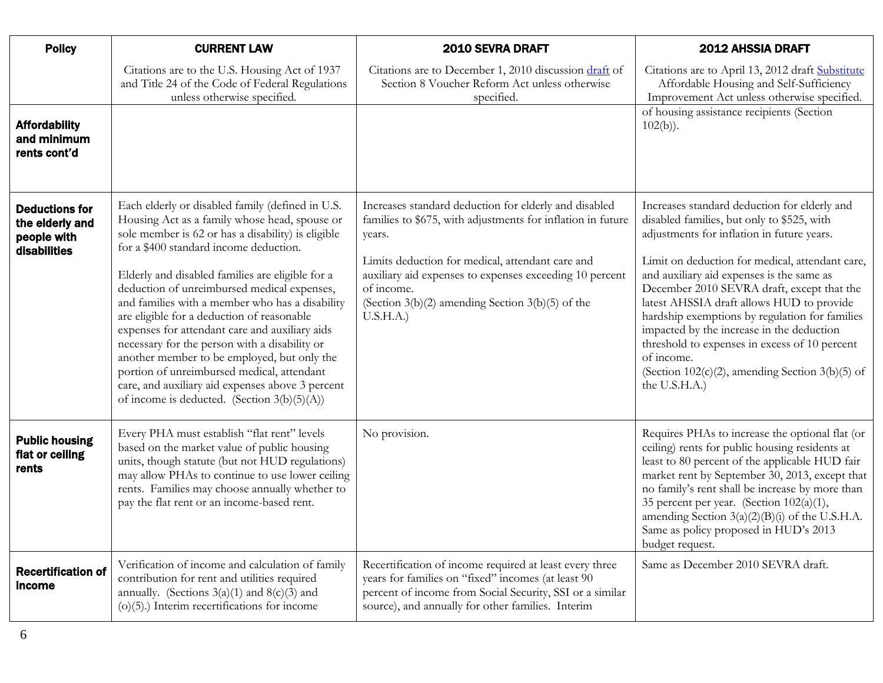<span id="page-5-1"></span><span id="page-5-0"></span>

| <b>Policy</b>                                                           | <b>CURRENT LAW</b>                                                                                                                                                                                                                                                                                                                                                                                                                                                                                                                                                                                                                                                                                          | 2010 SEVRA DRAFT                                                                                                                                                                                                                                                                                                                 | <b>2012 AHSSIA DRAFT</b>                                                                                                                                                                                                                                                                                                                                                                                                                                                                                                                                                   |
|-------------------------------------------------------------------------|-------------------------------------------------------------------------------------------------------------------------------------------------------------------------------------------------------------------------------------------------------------------------------------------------------------------------------------------------------------------------------------------------------------------------------------------------------------------------------------------------------------------------------------------------------------------------------------------------------------------------------------------------------------------------------------------------------------|----------------------------------------------------------------------------------------------------------------------------------------------------------------------------------------------------------------------------------------------------------------------------------------------------------------------------------|----------------------------------------------------------------------------------------------------------------------------------------------------------------------------------------------------------------------------------------------------------------------------------------------------------------------------------------------------------------------------------------------------------------------------------------------------------------------------------------------------------------------------------------------------------------------------|
|                                                                         | Citations are to the U.S. Housing Act of 1937<br>and Title 24 of the Code of Federal Regulations<br>unless otherwise specified.                                                                                                                                                                                                                                                                                                                                                                                                                                                                                                                                                                             | Citations are to December 1, 2010 discussion draft of<br>Section 8 Voucher Reform Act unless otherwise<br>specified.                                                                                                                                                                                                             | Citations are to April 13, 2012 draft Substitute<br>Affordable Housing and Self-Sufficiency<br>Improvement Act unless otherwise specified.                                                                                                                                                                                                                                                                                                                                                                                                                                 |
| <b>Affordability</b><br>and minimum<br>rents cont'd                     |                                                                                                                                                                                                                                                                                                                                                                                                                                                                                                                                                                                                                                                                                                             |                                                                                                                                                                                                                                                                                                                                  | of housing assistance recipients (Section<br>$102(b)$ ).                                                                                                                                                                                                                                                                                                                                                                                                                                                                                                                   |
| <b>Deductions for</b><br>the elderly and<br>people with<br>disabilities | Each elderly or disabled family (defined in U.S.<br>Housing Act as a family whose head, spouse or<br>sole member is 62 or has a disability) is eligible<br>for a \$400 standard income deduction.<br>Elderly and disabled families are eligible for a<br>deduction of unreimbursed medical expenses,<br>and families with a member who has a disability<br>are eligible for a deduction of reasonable<br>expenses for attendant care and auxiliary aids<br>necessary for the person with a disability or<br>another member to be employed, but only the<br>portion of unreimbursed medical, attendant<br>care, and auxiliary aid expenses above 3 percent<br>of income is deducted. (Section $3(b)(5)(A)$ ) | Increases standard deduction for elderly and disabled<br>families to \$675, with adjustments for inflation in future<br>years.<br>Limits deduction for medical, attendant care and<br>auxiliary aid expenses to expenses exceeding 10 percent<br>of income.<br>(Section $3(b)(2)$ amending Section $3(b)(5)$ of the<br>U.S.H.A.) | Increases standard deduction for elderly and<br>disabled families, but only to \$525, with<br>adjustments for inflation in future years.<br>Limit on deduction for medical, attendant care,<br>and auxiliary aid expenses is the same as<br>December 2010 SEVRA draft, except that the<br>latest AHSSIA draft allows HUD to provide<br>hardship exemptions by regulation for families<br>impacted by the increase in the deduction<br>threshold to expenses in excess of 10 percent<br>of income.<br>(Section $102(c)(2)$ , amending Section $3(b)(5)$ of<br>the U.S.H.A.) |
| <b>Public housing</b><br>flat or ceiling<br>rents                       | Every PHA must establish "flat rent" levels<br>based on the market value of public housing<br>units, though statute (but not HUD regulations)<br>may allow PHAs to continue to use lower ceiling<br>rents. Families may choose annually whether to<br>pay the flat rent or an income-based rent.                                                                                                                                                                                                                                                                                                                                                                                                            | No provision.                                                                                                                                                                                                                                                                                                                    | Requires PHAs to increase the optional flat (or<br>ceiling) rents for public housing residents at<br>least to 80 percent of the applicable HUD fair<br>market rent by September 30, 2013, except that<br>no family's rent shall be increase by more than<br>35 percent per year. (Section 102(a)(1),<br>amending Section $3(a)(2)(B)(i)$ of the U.S.H.A.<br>Same as policy proposed in HUD's 2013<br>budget request.                                                                                                                                                       |
| <b>Recertification of</b><br>income                                     | Verification of income and calculation of family<br>contribution for rent and utilities required<br>annually. (Sections $3(a)(1)$ and $8(c)(3)$ and<br>$(o)(5)$ .) Interim recertifications for income                                                                                                                                                                                                                                                                                                                                                                                                                                                                                                      | Recertification of income required at least every three<br>years for families on "fixed" incomes (at least 90<br>percent of income from Social Security, SSI or a similar<br>source), and annually for other families. Interim                                                                                                   | Same as December 2010 SEVRA draft.                                                                                                                                                                                                                                                                                                                                                                                                                                                                                                                                         |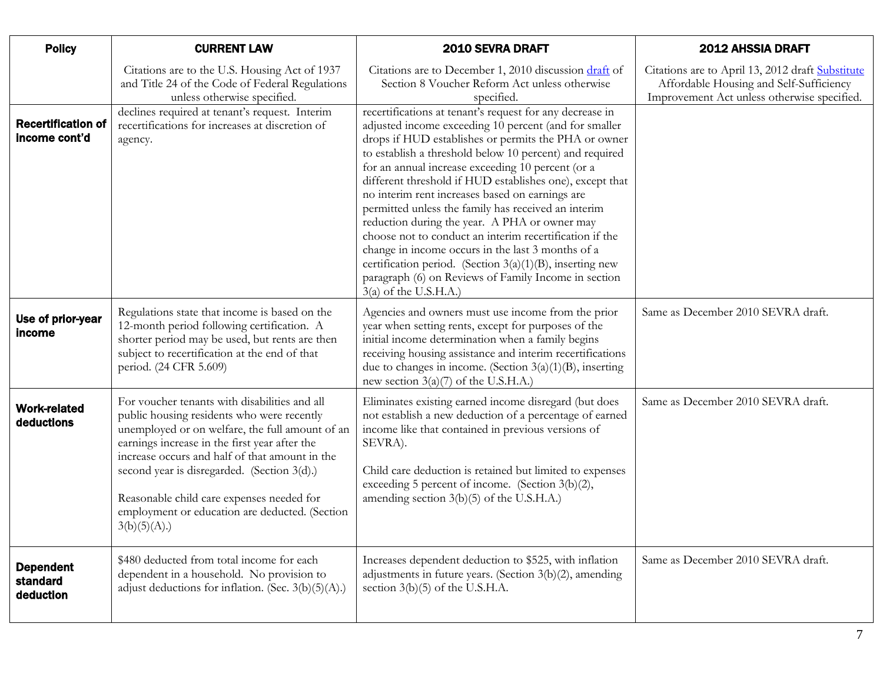<span id="page-6-2"></span><span id="page-6-1"></span><span id="page-6-0"></span>

| <b>Policy</b>                              | <b>CURRENT LAW</b>                                                                                                                                                                                                                                                                                                                                                                                             | 2010 SEVRA DRAFT                                                                                                                                                                                                                                                                                                                                                                                                                                                                                                                                                                                                                                                                                                                                                                   | <b>2012 AHSSIA DRAFT</b>                                                                                                                   |
|--------------------------------------------|----------------------------------------------------------------------------------------------------------------------------------------------------------------------------------------------------------------------------------------------------------------------------------------------------------------------------------------------------------------------------------------------------------------|------------------------------------------------------------------------------------------------------------------------------------------------------------------------------------------------------------------------------------------------------------------------------------------------------------------------------------------------------------------------------------------------------------------------------------------------------------------------------------------------------------------------------------------------------------------------------------------------------------------------------------------------------------------------------------------------------------------------------------------------------------------------------------|--------------------------------------------------------------------------------------------------------------------------------------------|
|                                            | Citations are to the U.S. Housing Act of 1937<br>and Title 24 of the Code of Federal Regulations<br>unless otherwise specified.                                                                                                                                                                                                                                                                                | Citations are to December 1, 2010 discussion draft of<br>Section 8 Voucher Reform Act unless otherwise<br>specified.                                                                                                                                                                                                                                                                                                                                                                                                                                                                                                                                                                                                                                                               | Citations are to April 13, 2012 draft Substitute<br>Affordable Housing and Self-Sufficiency<br>Improvement Act unless otherwise specified. |
| <b>Recertification of</b><br>income cont'd | declines required at tenant's request. Interim<br>recertifications for increases at discretion of<br>agency.                                                                                                                                                                                                                                                                                                   | recertifications at tenant's request for any decrease in<br>adjusted income exceeding 10 percent (and for smaller<br>drops if HUD establishes or permits the PHA or owner<br>to establish a threshold below 10 percent) and required<br>for an annual increase exceeding 10 percent (or a<br>different threshold if HUD establishes one), except that<br>no interim rent increases based on earnings are<br>permitted unless the family has received an interim<br>reduction during the year. A PHA or owner may<br>choose not to conduct an interim recertification if the<br>change in income occurs in the last 3 months of a<br>certification period. (Section $3(a)(1)(B)$ , inserting new<br>paragraph (6) on Reviews of Family Income in section<br>$3(a)$ of the U.S.H.A.) |                                                                                                                                            |
| Use of prior-year<br>income                | Regulations state that income is based on the<br>12-month period following certification. A<br>shorter period may be used, but rents are then<br>subject to recertification at the end of that<br>period. (24 CFR 5.609)                                                                                                                                                                                       | Agencies and owners must use income from the prior<br>year when setting rents, except for purposes of the<br>initial income determination when a family begins<br>receiving housing assistance and interim recertifications<br>due to changes in income. (Section $3(a)(1)(B)$ , inserting<br>new section $3(a)(7)$ of the U.S.H.A.)                                                                                                                                                                                                                                                                                                                                                                                                                                               | Same as December 2010 SEVRA draft.                                                                                                         |
| <b>Work-related</b><br>deductions          | For voucher tenants with disabilities and all<br>public housing residents who were recently<br>unemployed or on welfare, the full amount of an<br>earnings increase in the first year after the<br>increase occurs and half of that amount in the<br>second year is disregarded. (Section 3(d).)<br>Reasonable child care expenses needed for<br>employment or education are deducted. (Section<br>3(b)(5)(A). | Eliminates existing earned income disregard (but does<br>not establish a new deduction of a percentage of earned<br>income like that contained in previous versions of<br>SEVRA).<br>Child care deduction is retained but limited to expenses<br>exceeding 5 percent of income. (Section 3(b)(2),<br>amending section $3(b)(5)$ of the U.S.H.A.)                                                                                                                                                                                                                                                                                                                                                                                                                                   | Same as December 2010 SEVRA draft.                                                                                                         |
| <b>Dependent</b><br>standard<br>deduction  | \$480 deducted from total income for each<br>dependent in a household. No provision to<br>adjust deductions for inflation. (Sec. 3(b)(5)(A).)                                                                                                                                                                                                                                                                  | Increases dependent deduction to \$525, with inflation<br>adjustments in future years. (Section 3(b)(2), amending<br>section $3(b)(5)$ of the U.S.H.A.                                                                                                                                                                                                                                                                                                                                                                                                                                                                                                                                                                                                                             | Same as December 2010 SEVRA draft.                                                                                                         |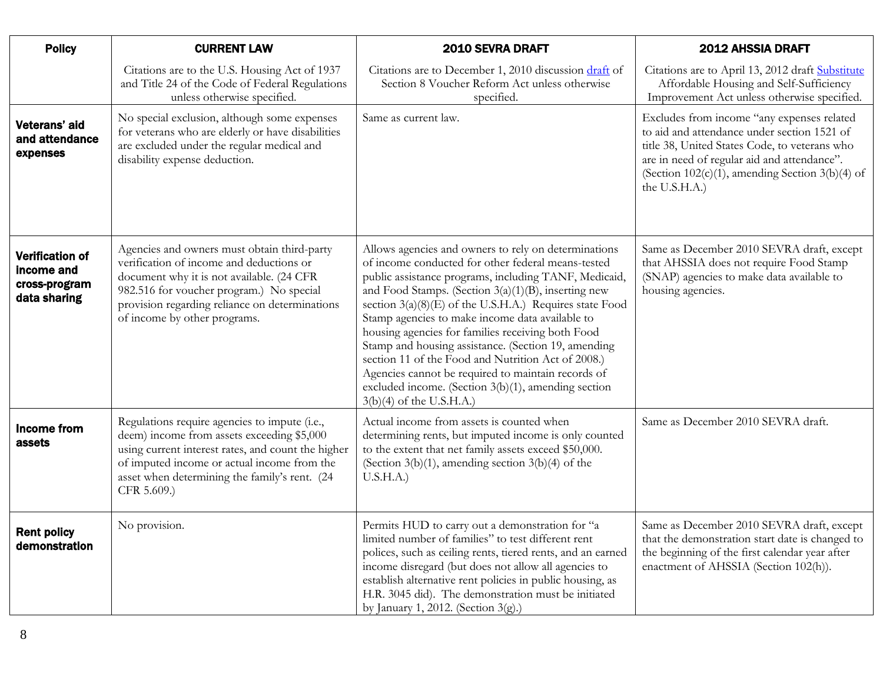<span id="page-7-2"></span><span id="page-7-1"></span><span id="page-7-0"></span>

| <b>Policy</b>                                                         | <b>CURRENT LAW</b>                                                                                                                                                                                                                                                 | 2010 SEVRA DRAFT                                                                                                                                                                                                                                                                                                                                                                                                                                                                                                                                                                                                                                    | <b>2012 AHSSIA DRAFT</b>                                                                                                                                                                                                                                           |
|-----------------------------------------------------------------------|--------------------------------------------------------------------------------------------------------------------------------------------------------------------------------------------------------------------------------------------------------------------|-----------------------------------------------------------------------------------------------------------------------------------------------------------------------------------------------------------------------------------------------------------------------------------------------------------------------------------------------------------------------------------------------------------------------------------------------------------------------------------------------------------------------------------------------------------------------------------------------------------------------------------------------------|--------------------------------------------------------------------------------------------------------------------------------------------------------------------------------------------------------------------------------------------------------------------|
|                                                                       | Citations are to the U.S. Housing Act of 1937<br>and Title 24 of the Code of Federal Regulations<br>unless otherwise specified.                                                                                                                                    | Citations are to December 1, 2010 discussion draft of<br>Section 8 Voucher Reform Act unless otherwise<br>specified.                                                                                                                                                                                                                                                                                                                                                                                                                                                                                                                                | Citations are to April 13, 2012 draft Substitute<br>Affordable Housing and Self-Sufficiency<br>Improvement Act unless otherwise specified.                                                                                                                         |
| Veterans' aid<br>and attendance<br>expenses                           | No special exclusion, although some expenses<br>for veterans who are elderly or have disabilities<br>are excluded under the regular medical and<br>disability expense deduction.                                                                                   | Same as current law.                                                                                                                                                                                                                                                                                                                                                                                                                                                                                                                                                                                                                                | Excludes from income "any expenses related<br>to aid and attendance under section 1521 of<br>title 38, United States Code, to veterans who<br>are in need of regular aid and attendance".<br>(Section $102(c)(1)$ , amending Section $3(b)(4)$ of<br>the U.S.H.A.) |
| <b>Verification of</b><br>income and<br>cross-program<br>data sharing | Agencies and owners must obtain third-party<br>verification of income and deductions or<br>document why it is not available. (24 CFR<br>982.516 for voucher program.) No special<br>provision regarding reliance on determinations<br>of income by other programs. | Allows agencies and owners to rely on determinations<br>of income conducted for other federal means-tested<br>public assistance programs, including TANF, Medicaid,<br>and Food Stamps. (Section 3(a)(1)(B), inserting new<br>section 3(a)(8)(E) of the U.S.H.A.) Requires state Food<br>Stamp agencies to make income data available to<br>housing agencies for families receiving both Food<br>Stamp and housing assistance. (Section 19, amending<br>section 11 of the Food and Nutrition Act of 2008.)<br>Agencies cannot be required to maintain records of<br>excluded income. (Section 3(b)(1), amending section<br>3(b)(4) of the U.S.H.A.) | Same as December 2010 SEVRA draft, except<br>that AHSSIA does not require Food Stamp<br>(SNAP) agencies to make data available to<br>housing agencies.                                                                                                             |
| <b>Income from</b><br>assets                                          | Regulations require agencies to impute (i.e.,<br>deem) income from assets exceeding \$5,000<br>using current interest rates, and count the higher<br>of imputed income or actual income from the<br>asset when determining the family's rent. (24<br>CFR 5.609.)   | Actual income from assets is counted when<br>determining rents, but imputed income is only counted<br>to the extent that net family assets exceed \$50,000.<br>(Section $3(b)(1)$ , amending section $3(b)(4)$ of the<br>U.S.H.A.)                                                                                                                                                                                                                                                                                                                                                                                                                  | Same as December 2010 SEVRA draft.                                                                                                                                                                                                                                 |
| <b>Rent policy</b><br>demonstration                                   | No provision.                                                                                                                                                                                                                                                      | Permits HUD to carry out a demonstration for "a<br>limited number of families" to test different rent<br>polices, such as ceiling rents, tiered rents, and an earned<br>income disregard (but does not allow all agencies to<br>establish alternative rent policies in public housing, as<br>H.R. 3045 did). The demonstration must be initiated<br>by January 1, 2012. (Section 3(g).)                                                                                                                                                                                                                                                             | Same as December 2010 SEVRA draft, except<br>that the demonstration start date is changed to<br>the beginning of the first calendar year after<br>enactment of AHSSIA (Section 102(h)).                                                                            |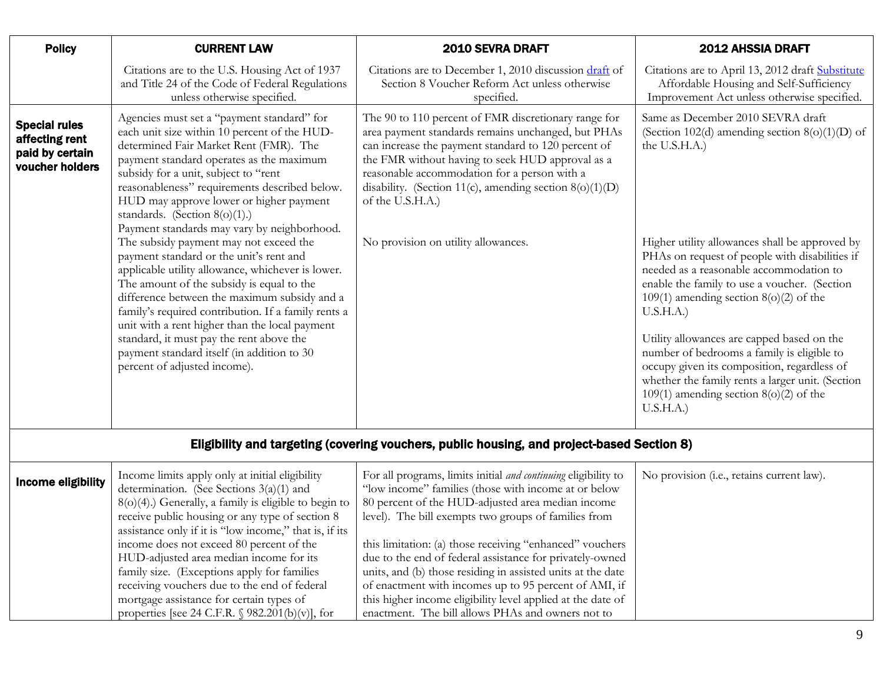<span id="page-8-0"></span>

| <b>Policy</b>                                                                | <b>CURRENT LAW</b>                                                                                                                                                                                                                                                                                                                                                                                                                                                                                                                                                                                                                                                                                                                                                                                                                                                                | <b>2010 SEVRA DRAFT</b>                                                                                                                                                                                                                                                                                                                                                                       | 2012 AHSSIA DRAFT                                                                                                                                                                                                                                                                                                                                                                                                                                                                                                                                                                                                        |
|------------------------------------------------------------------------------|-----------------------------------------------------------------------------------------------------------------------------------------------------------------------------------------------------------------------------------------------------------------------------------------------------------------------------------------------------------------------------------------------------------------------------------------------------------------------------------------------------------------------------------------------------------------------------------------------------------------------------------------------------------------------------------------------------------------------------------------------------------------------------------------------------------------------------------------------------------------------------------|-----------------------------------------------------------------------------------------------------------------------------------------------------------------------------------------------------------------------------------------------------------------------------------------------------------------------------------------------------------------------------------------------|--------------------------------------------------------------------------------------------------------------------------------------------------------------------------------------------------------------------------------------------------------------------------------------------------------------------------------------------------------------------------------------------------------------------------------------------------------------------------------------------------------------------------------------------------------------------------------------------------------------------------|
|                                                                              | Citations are to the U.S. Housing Act of 1937<br>and Title 24 of the Code of Federal Regulations<br>unless otherwise specified.                                                                                                                                                                                                                                                                                                                                                                                                                                                                                                                                                                                                                                                                                                                                                   | Citations are to December 1, 2010 discussion draft of<br>Section 8 Voucher Reform Act unless otherwise<br>specified.                                                                                                                                                                                                                                                                          | Citations are to April 13, 2012 draft Substitute<br>Affordable Housing and Self-Sufficiency<br>Improvement Act unless otherwise specified.                                                                                                                                                                                                                                                                                                                                                                                                                                                                               |
| <b>Special rules</b><br>affecting rent<br>paid by certain<br>voucher holders | Agencies must set a "payment standard" for<br>each unit size within 10 percent of the HUD-<br>determined Fair Market Rent (FMR). The<br>payment standard operates as the maximum<br>subsidy for a unit, subject to "rent<br>reasonableness" requirements described below.<br>HUD may approve lower or higher payment<br>standards. (Section $8(0)(1)$ .)<br>Payment standards may vary by neighborhood.<br>The subsidy payment may not exceed the<br>payment standard or the unit's rent and<br>applicable utility allowance, whichever is lower.<br>The amount of the subsidy is equal to the<br>difference between the maximum subsidy and a<br>family's required contribution. If a family rents a<br>unit with a rent higher than the local payment<br>standard, it must pay the rent above the<br>payment standard itself (in addition to 30<br>percent of adjusted income). | The 90 to 110 percent of FMR discretionary range for<br>area payment standards remains unchanged, but PHAs<br>can increase the payment standard to 120 percent of<br>the FMR without having to seek HUD approval as a<br>reasonable accommodation for a person with a<br>disability. (Section 11(c), amending section $8(0)(1)(D)$<br>of the U.S.H.A.)<br>No provision on utility allowances. | Same as December 2010 SEVRA draft<br>(Section 102(d) amending section $8(0)(1)(D)$ of<br>the U.S.H.A.)<br>Higher utility allowances shall be approved by<br>PHAs on request of people with disabilities if<br>needed as a reasonable accommodation to<br>enable the family to use a voucher. (Section<br>109(1) amending section $8(0)(2)$ of the<br>U.S.H.A.)<br>Utility allowances are capped based on the<br>number of bedrooms a family is eligible to<br>occupy given its composition, regardless of<br>whether the family rents a larger unit. (Section<br>$109(1)$ amending section $8(0)(2)$ of the<br>U.S.H.A.) |

## Eligibility and targeting (covering vouchers, public housing, and project-based Section 8)

<span id="page-8-2"></span><span id="page-8-1"></span>

| Income eligibility | Income limits apply only at initial eligibility<br>determination. (See Sections $3(a)(1)$ and             | For all programs, limits initial <i>and continuing</i> eligibility to<br>"low income" families (those with income at or below | No provision (i.e., retains current law). |
|--------------------|-----------------------------------------------------------------------------------------------------------|-------------------------------------------------------------------------------------------------------------------------------|-------------------------------------------|
|                    | $8(o)(4)$ .) Generally, a family is eligible to begin to                                                  | 80 percent of the HUD-adjusted area median income                                                                             |                                           |
|                    | receive public housing or any type of section 8<br>assistance only if it is "low income," that is, if its | level). The bill exempts two groups of families from                                                                          |                                           |
|                    | income does not exceed 80 percent of the                                                                  | this limitation: (a) those receiving "enhanced" vouchers                                                                      |                                           |
|                    | HUD-adjusted area median income for its                                                                   | due to the end of federal assistance for privately-owned                                                                      |                                           |
|                    | family size. (Exceptions apply for families                                                               | units, and (b) those residing in assisted units at the date                                                                   |                                           |
|                    | receiving vouchers due to the end of federal                                                              | of enactment with incomes up to 95 percent of AMI, if                                                                         |                                           |
|                    | mortgage assistance for certain types of                                                                  | this higher income eligibility level applied at the date of                                                                   |                                           |
|                    | properties [see 24 C.F.R. $\sqrt{982.201(b)(v)}$ ], for                                                   | enactment. The bill allows PHAs and owners not to                                                                             |                                           |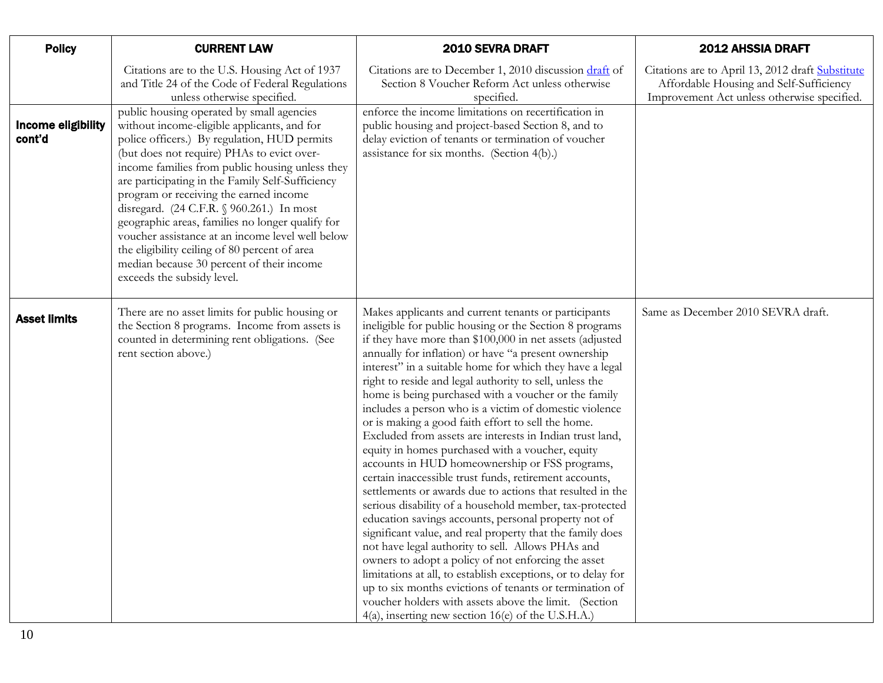<span id="page-9-0"></span>

| <b>Policy</b>                | <b>CURRENT LAW</b>                                                                                                                                                                                                                                                                                                                                                                                                                                                                                                                                                                                                       | 2010 SEVRA DRAFT                                                                                                                                                                                                                                                                                                                                                                                                                                                                                                                                                                                                                                                                                                                                                                                                                                                                                                                                                                                                                                                                                                                                                                                                                                                                                                                                                  | <b>2012 AHSSIA DRAFT</b>                                                                                                                   |
|------------------------------|--------------------------------------------------------------------------------------------------------------------------------------------------------------------------------------------------------------------------------------------------------------------------------------------------------------------------------------------------------------------------------------------------------------------------------------------------------------------------------------------------------------------------------------------------------------------------------------------------------------------------|-------------------------------------------------------------------------------------------------------------------------------------------------------------------------------------------------------------------------------------------------------------------------------------------------------------------------------------------------------------------------------------------------------------------------------------------------------------------------------------------------------------------------------------------------------------------------------------------------------------------------------------------------------------------------------------------------------------------------------------------------------------------------------------------------------------------------------------------------------------------------------------------------------------------------------------------------------------------------------------------------------------------------------------------------------------------------------------------------------------------------------------------------------------------------------------------------------------------------------------------------------------------------------------------------------------------------------------------------------------------|--------------------------------------------------------------------------------------------------------------------------------------------|
|                              | Citations are to the U.S. Housing Act of 1937<br>and Title 24 of the Code of Federal Regulations<br>unless otherwise specified.                                                                                                                                                                                                                                                                                                                                                                                                                                                                                          | Citations are to December 1, 2010 discussion draft of<br>Section 8 Voucher Reform Act unless otherwise<br>specified.                                                                                                                                                                                                                                                                                                                                                                                                                                                                                                                                                                                                                                                                                                                                                                                                                                                                                                                                                                                                                                                                                                                                                                                                                                              | Citations are to April 13, 2012 draft Substitute<br>Affordable Housing and Self-Sufficiency<br>Improvement Act unless otherwise specified. |
| Income eligibility<br>cont'd | public housing operated by small agencies<br>without income-eligible applicants, and for<br>police officers.) By regulation, HUD permits<br>(but does not require) PHAs to evict over-<br>income families from public housing unless they<br>are participating in the Family Self-Sufficiency<br>program or receiving the earned income<br>disregard. (24 C.F.R. § 960.261.) In most<br>geographic areas, families no longer qualify for<br>voucher assistance at an income level well below<br>the eligibility ceiling of 80 percent of area<br>median because 30 percent of their income<br>exceeds the subsidy level. | enforce the income limitations on recertification in<br>public housing and project-based Section 8, and to<br>delay eviction of tenants or termination of voucher<br>assistance for six months. (Section 4(b).)                                                                                                                                                                                                                                                                                                                                                                                                                                                                                                                                                                                                                                                                                                                                                                                                                                                                                                                                                                                                                                                                                                                                                   |                                                                                                                                            |
| <b>Asset limits</b>          | There are no asset limits for public housing or<br>the Section 8 programs. Income from assets is<br>counted in determining rent obligations. (See<br>rent section above.)                                                                                                                                                                                                                                                                                                                                                                                                                                                | Makes applicants and current tenants or participants<br>ineligible for public housing or the Section 8 programs<br>if they have more than \$100,000 in net assets (adjusted<br>annually for inflation) or have "a present ownership<br>interest" in a suitable home for which they have a legal<br>right to reside and legal authority to sell, unless the<br>home is being purchased with a voucher or the family<br>includes a person who is a victim of domestic violence<br>or is making a good faith effort to sell the home.<br>Excluded from assets are interests in Indian trust land,<br>equity in homes purchased with a voucher, equity<br>accounts in HUD homeownership or FSS programs,<br>certain inaccessible trust funds, retirement accounts,<br>settlements or awards due to actions that resulted in the<br>serious disability of a household member, tax-protected<br>education savings accounts, personal property not of<br>significant value, and real property that the family does<br>not have legal authority to sell. Allows PHAs and<br>owners to adopt a policy of not enforcing the asset<br>limitations at all, to establish exceptions, or to delay for<br>up to six months evictions of tenants or termination of<br>voucher holders with assets above the limit. (Section<br>4(a), inserting new section 16(e) of the U.S.H.A.) | Same as December 2010 SEVRA draft.                                                                                                         |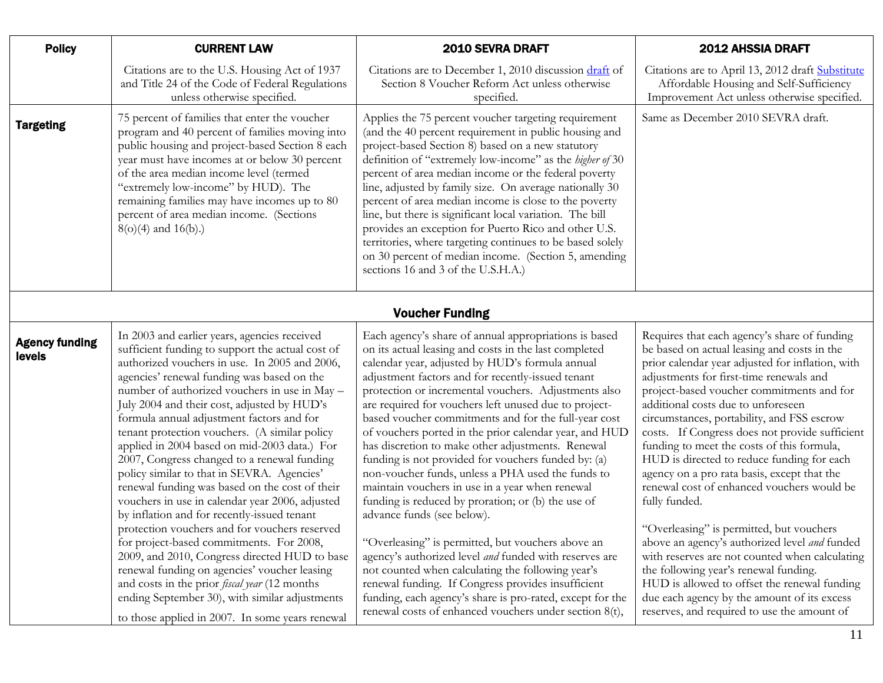<span id="page-10-1"></span><span id="page-10-0"></span>

| <b>Policy</b>                   | <b>CURRENT LAW</b>                                                                                                                                                                                                                                                                                                                                                                                                                                                                                                                                                                                                                                                                             | 2010 SEVRA DRAFT                                                                                                                                                                                                                                                                                                                                                                                                                                                                                                                                                                                                                                                                                                                                                  | <b>2012 AHSSIA DRAFT</b>                                                                                                                                                                                                                                                                                                                                                                                                                                                                                                                                                                |
|---------------------------------|------------------------------------------------------------------------------------------------------------------------------------------------------------------------------------------------------------------------------------------------------------------------------------------------------------------------------------------------------------------------------------------------------------------------------------------------------------------------------------------------------------------------------------------------------------------------------------------------------------------------------------------------------------------------------------------------|-------------------------------------------------------------------------------------------------------------------------------------------------------------------------------------------------------------------------------------------------------------------------------------------------------------------------------------------------------------------------------------------------------------------------------------------------------------------------------------------------------------------------------------------------------------------------------------------------------------------------------------------------------------------------------------------------------------------------------------------------------------------|-----------------------------------------------------------------------------------------------------------------------------------------------------------------------------------------------------------------------------------------------------------------------------------------------------------------------------------------------------------------------------------------------------------------------------------------------------------------------------------------------------------------------------------------------------------------------------------------|
|                                 | Citations are to the U.S. Housing Act of 1937<br>and Title 24 of the Code of Federal Regulations<br>unless otherwise specified.                                                                                                                                                                                                                                                                                                                                                                                                                                                                                                                                                                | Citations are to December 1, 2010 discussion draft of<br>Section 8 Voucher Reform Act unless otherwise<br>specified.                                                                                                                                                                                                                                                                                                                                                                                                                                                                                                                                                                                                                                              | Citations are to April 13, 2012 draft Substitute<br>Affordable Housing and Self-Sufficiency<br>Improvement Act unless otherwise specified.                                                                                                                                                                                                                                                                                                                                                                                                                                              |
| <b>Targeting</b>                | 75 percent of families that enter the voucher<br>program and 40 percent of families moving into<br>public housing and project-based Section 8 each<br>year must have incomes at or below 30 percent<br>of the area median income level (termed<br>"extremely low-income" by HUD). The<br>remaining families may have incomes up to 80<br>percent of area median income. (Sections<br>$8(o)(4)$ and $16(b)$ .)                                                                                                                                                                                                                                                                                  | Applies the 75 percent voucher targeting requirement<br>(and the 40 percent requirement in public housing and<br>project-based Section 8) based on a new statutory<br>definition of "extremely low-income" as the higher of 30<br>percent of area median income or the federal poverty<br>line, adjusted by family size. On average nationally 30<br>percent of area median income is close to the poverty<br>line, but there is significant local variation. The bill<br>provides an exception for Puerto Rico and other U.S.<br>territories, where targeting continues to be based solely<br>on 30 percent of median income. (Section 5, amending<br>sections 16 and 3 of the U.S.H.A.)                                                                         | Same as December 2010 SEVRA draft.                                                                                                                                                                                                                                                                                                                                                                                                                                                                                                                                                      |
|                                 |                                                                                                                                                                                                                                                                                                                                                                                                                                                                                                                                                                                                                                                                                                | <b>Voucher Funding</b>                                                                                                                                                                                                                                                                                                                                                                                                                                                                                                                                                                                                                                                                                                                                            |                                                                                                                                                                                                                                                                                                                                                                                                                                                                                                                                                                                         |
| <b>Agency funding</b><br>levels | In 2003 and earlier years, agencies received<br>sufficient funding to support the actual cost of<br>authorized vouchers in use. In 2005 and 2006,<br>agencies' renewal funding was based on the<br>number of authorized vouchers in use in May -<br>July 2004 and their cost, adjusted by HUD's<br>formula annual adjustment factors and for<br>tenant protection vouchers. (A similar policy<br>applied in 2004 based on mid-2003 data.) For<br>2007, Congress changed to a renewal funding<br>policy similar to that in SEVRA. Agencies'<br>renewal funding was based on the cost of their<br>vouchers in use in calendar year 2006, adjusted<br>by inflation and for recently-issued tenant | Each agency's share of annual appropriations is based<br>on its actual leasing and costs in the last completed<br>calendar year, adjusted by HUD's formula annual<br>adjustment factors and for recently-issued tenant<br>protection or incremental vouchers. Adjustments also<br>are required for vouchers left unused due to project-<br>based voucher commitments and for the full-year cost<br>of vouchers ported in the prior calendar year, and HUD<br>has discretion to make other adjustments. Renewal<br>funding is not provided for vouchers funded by: (a)<br>non-voucher funds, unless a PHA used the funds to<br>maintain vouchers in use in a year when renewal<br>funding is reduced by proration; or (b) the use of<br>advance funds (see below). | Requires that each agency's share of funding<br>be based on actual leasing and costs in the<br>prior calendar year adjusted for inflation, with<br>adjustments for first-time renewals and<br>project-based voucher commitments and for<br>additional costs due to unforeseen<br>circumstances, portability, and FSS escrow<br>costs. If Congress does not provide sufficient<br>funding to meet the costs of this formula,<br>HUD is directed to reduce funding for each<br>agency on a pro rata basis, except that the<br>renewal cost of enhanced vouchers would be<br>fully funded. |
|                                 | protection vouchers and for vouchers reserved<br>for project-based commitments. For 2008,<br>2009, and 2010, Congress directed HUD to base<br>renewal funding on agencies' voucher leasing<br>and costs in the prior <i>fiscal year</i> (12 months<br>ending September 30), with similar adjustments<br>to those applied in 2007. In some years renewal                                                                                                                                                                                                                                                                                                                                        | "Overleasing" is permitted, but vouchers above an<br>agency's authorized level and funded with reserves are<br>not counted when calculating the following year's<br>renewal funding. If Congress provides insufficient<br>funding, each agency's share is pro-rated, except for the<br>renewal costs of enhanced vouchers under section 8(t),                                                                                                                                                                                                                                                                                                                                                                                                                     | "Overleasing" is permitted, but vouchers<br>above an agency's authorized level and funded<br>with reserves are not counted when calculating<br>the following year's renewal funding.<br>HUD is allowed to offset the renewal funding<br>due each agency by the amount of its excess<br>reserves, and required to use the amount of                                                                                                                                                                                                                                                      |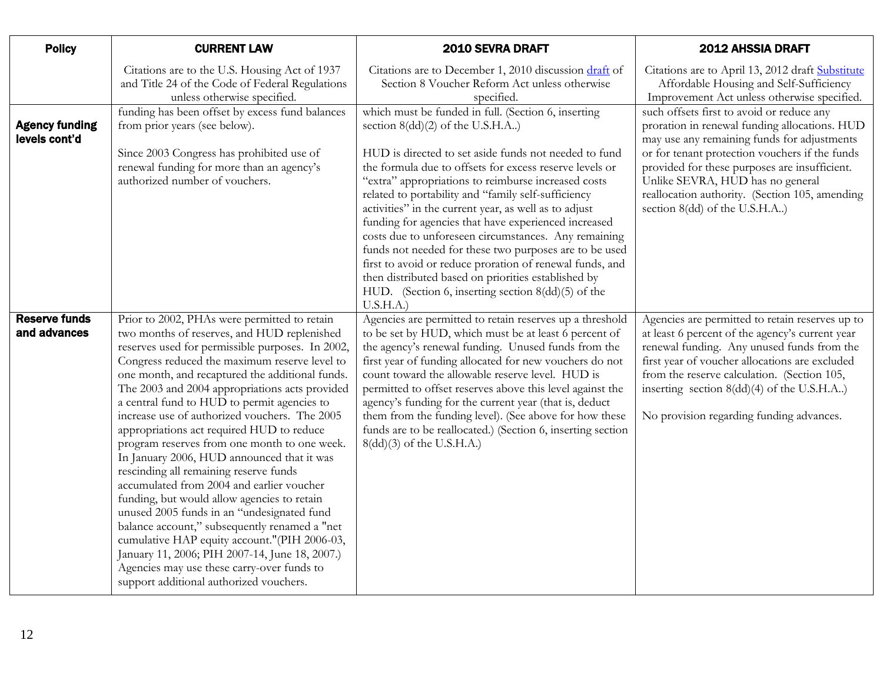| <b>Policy</b>                          | <b>CURRENT LAW</b>                                                                                                                                                                                                                                                                                                                                                                                                                                                                                                                                                                                                                                                                                                                                                                                                                                                                                                                                                               | 2010 SEVRA DRAFT                                                                                                                                                                                                                                                                                                                                                                                                                                                                                                                                                                                                                                                                                                                                  | <b>2012 AHSSIA DRAFT</b>                                                                                                                                                                                                                                                                                                                                            |
|----------------------------------------|----------------------------------------------------------------------------------------------------------------------------------------------------------------------------------------------------------------------------------------------------------------------------------------------------------------------------------------------------------------------------------------------------------------------------------------------------------------------------------------------------------------------------------------------------------------------------------------------------------------------------------------------------------------------------------------------------------------------------------------------------------------------------------------------------------------------------------------------------------------------------------------------------------------------------------------------------------------------------------|---------------------------------------------------------------------------------------------------------------------------------------------------------------------------------------------------------------------------------------------------------------------------------------------------------------------------------------------------------------------------------------------------------------------------------------------------------------------------------------------------------------------------------------------------------------------------------------------------------------------------------------------------------------------------------------------------------------------------------------------------|---------------------------------------------------------------------------------------------------------------------------------------------------------------------------------------------------------------------------------------------------------------------------------------------------------------------------------------------------------------------|
|                                        | Citations are to the U.S. Housing Act of 1937<br>and Title 24 of the Code of Federal Regulations<br>unless otherwise specified.                                                                                                                                                                                                                                                                                                                                                                                                                                                                                                                                                                                                                                                                                                                                                                                                                                                  | Citations are to December 1, 2010 discussion draft of<br>Section 8 Voucher Reform Act unless otherwise<br>specified.                                                                                                                                                                                                                                                                                                                                                                                                                                                                                                                                                                                                                              | Citations are to April 13, 2012 draft Substitute<br>Affordable Housing and Self-Sufficiency<br>Improvement Act unless otherwise specified.                                                                                                                                                                                                                          |
| <b>Agency funding</b><br>levels cont'd | funding has been offset by excess fund balances<br>from prior years (see below).<br>Since 2003 Congress has prohibited use of<br>renewal funding for more than an agency's<br>authorized number of vouchers.                                                                                                                                                                                                                                                                                                                                                                                                                                                                                                                                                                                                                                                                                                                                                                     | which must be funded in full. (Section 6, inserting<br>section 8(dd)(2) of the U.S.H.A)<br>HUD is directed to set aside funds not needed to fund<br>the formula due to offsets for excess reserve levels or<br>"extra" appropriations to reimburse increased costs<br>related to portability and "family self-sufficiency<br>activities" in the current year, as well as to adjust<br>funding for agencies that have experienced increased<br>costs due to unforeseen circumstances. Any remaining<br>funds not needed for these two purposes are to be used<br>first to avoid or reduce proration of renewal funds, and<br>then distributed based on priorities established by<br>HUD. (Section 6, inserting section 8(dd)(5) of the<br>U.S.H.A. | such offsets first to avoid or reduce any<br>proration in renewal funding allocations. HUD<br>may use any remaining funds for adjustments<br>or for tenant protection vouchers if the funds<br>provided for these purposes are insufficient.<br>Unlike SEVRA, HUD has no general<br>reallocation authority. (Section 105, amending<br>section 8(dd) of the U.S.H.A) |
| <b>Reserve funds</b><br>and advances   | Prior to 2002, PHAs were permitted to retain<br>two months of reserves, and HUD replenished<br>reserves used for permissible purposes. In 2002,<br>Congress reduced the maximum reserve level to<br>one month, and recaptured the additional funds.<br>The 2003 and 2004 appropriations acts provided<br>a central fund to HUD to permit agencies to<br>increase use of authorized vouchers. The 2005<br>appropriations act required HUD to reduce<br>program reserves from one month to one week.<br>In January 2006, HUD announced that it was<br>rescinding all remaining reserve funds<br>accumulated from 2004 and earlier voucher<br>funding, but would allow agencies to retain<br>unused 2005 funds in an "undesignated fund<br>balance account," subsequently renamed a "net<br>cumulative HAP equity account."(PIH 2006-03,<br>January 11, 2006; PIH 2007-14, June 18, 2007.)<br>Agencies may use these carry-over funds to<br>support additional authorized vouchers. | Agencies are permitted to retain reserves up a threshold<br>to be set by HUD, which must be at least 6 percent of<br>the agency's renewal funding. Unused funds from the<br>first year of funding allocated for new vouchers do not<br>count toward the allowable reserve level. HUD is<br>permitted to offset reserves above this level against the<br>agency's funding for the current year (that is, deduct<br>them from the funding level). (See above for how these<br>funds are to be reallocated.) (Section 6, inserting section<br>8(dd)(3) of the U.S.H.A.)                                                                                                                                                                              | Agencies are permitted to retain reserves up to<br>at least 6 percent of the agency's current year<br>renewal funding. Any unused funds from the<br>first year of voucher allocations are excluded<br>from the reserve calculation. (Section 105,<br>inserting section 8(dd)(4) of the U.S.H.A)<br>No provision regarding funding advances.                         |

 $\mathbf{L}$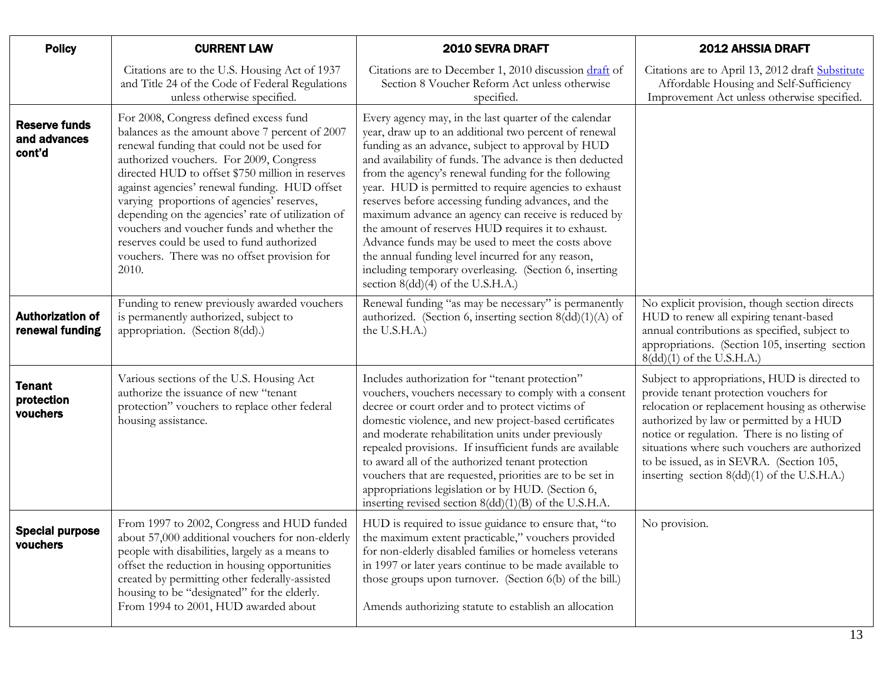<span id="page-12-3"></span><span id="page-12-2"></span><span id="page-12-1"></span><span id="page-12-0"></span>

| <b>Policy</b>                                  | <b>CURRENT LAW</b>                                                                                                                                                                                                                                                                                                                                                                                                                                                                                                                           | 2010 SEVRA DRAFT                                                                                                                                                                                                                                                                                                                                                                                                                                                                                                                                                                                                                                                                                                            | <b>2012 AHSSIA DRAFT</b>                                                                                                                                                                                                                                                                                                                                                           |
|------------------------------------------------|----------------------------------------------------------------------------------------------------------------------------------------------------------------------------------------------------------------------------------------------------------------------------------------------------------------------------------------------------------------------------------------------------------------------------------------------------------------------------------------------------------------------------------------------|-----------------------------------------------------------------------------------------------------------------------------------------------------------------------------------------------------------------------------------------------------------------------------------------------------------------------------------------------------------------------------------------------------------------------------------------------------------------------------------------------------------------------------------------------------------------------------------------------------------------------------------------------------------------------------------------------------------------------------|------------------------------------------------------------------------------------------------------------------------------------------------------------------------------------------------------------------------------------------------------------------------------------------------------------------------------------------------------------------------------------|
|                                                | Citations are to the U.S. Housing Act of 1937<br>and Title 24 of the Code of Federal Regulations<br>unless otherwise specified.                                                                                                                                                                                                                                                                                                                                                                                                              | Citations are to December 1, 2010 discussion draft of<br>Section 8 Voucher Reform Act unless otherwise<br>specified.                                                                                                                                                                                                                                                                                                                                                                                                                                                                                                                                                                                                        | Citations are to April 13, 2012 draft Substitute<br>Affordable Housing and Self-Sufficiency<br>Improvement Act unless otherwise specified.                                                                                                                                                                                                                                         |
| <b>Reserve funds</b><br>and advances<br>cont'd | For 2008, Congress defined excess fund<br>balances as the amount above 7 percent of 2007<br>renewal funding that could not be used for<br>authorized vouchers. For 2009, Congress<br>directed HUD to offset \$750 million in reserves<br>against agencies' renewal funding. HUD offset<br>varying proportions of agencies' reserves,<br>depending on the agencies' rate of utilization of<br>vouchers and voucher funds and whether the<br>reserves could be used to fund authorized<br>vouchers. There was no offset provision for<br>2010. | Every agency may, in the last quarter of the calendar<br>year, draw up to an additional two percent of renewal<br>funding as an advance, subject to approval by HUD<br>and availability of funds. The advance is then deducted<br>from the agency's renewal funding for the following<br>year. HUD is permitted to require agencies to exhaust<br>reserves before accessing funding advances, and the<br>maximum advance an agency can receive is reduced by<br>the amount of reserves HUD requires it to exhaust.<br>Advance funds may be used to meet the costs above<br>the annual funding level incurred for any reason,<br>including temporary overleasing. (Section 6, inserting<br>section 8(dd)(4) of the U.S.H.A.) |                                                                                                                                                                                                                                                                                                                                                                                    |
| <b>Authorization of</b><br>renewal funding     | Funding to renew previously awarded vouchers<br>is permanently authorized, subject to<br>appropriation. (Section 8(dd).)                                                                                                                                                                                                                                                                                                                                                                                                                     | Renewal funding "as may be necessary" is permanently<br>authorized. (Section 6, inserting section 8(dd)(1)(A) of<br>the U.S.H.A.)                                                                                                                                                                                                                                                                                                                                                                                                                                                                                                                                                                                           | No explicit provision, though section directs<br>HUD to renew all expiring tenant-based<br>annual contributions as specified, subject to<br>appropriations. (Section 105, inserting section<br>8(dd)(1) of the U.S.H.A.)                                                                                                                                                           |
| <b>Tenant</b><br>protection<br>vouchers        | Various sections of the U.S. Housing Act<br>authorize the issuance of new "tenant<br>protection" vouchers to replace other federal<br>housing assistance.                                                                                                                                                                                                                                                                                                                                                                                    | Includes authorization for "tenant protection"<br>vouchers, vouchers necessary to comply with a consent<br>decree or court order and to protect victims of<br>domestic violence, and new project-based certificates<br>and moderate rehabilitation units under previously<br>repealed provisions. If insufficient funds are available<br>to award all of the authorized tenant protection<br>vouchers that are requested, priorities are to be set in<br>appropriations legislation or by HUD. (Section 6,<br>inserting revised section $8(dd)(1)(B)$ of the U.S.H.A.                                                                                                                                                       | Subject to appropriations, HUD is directed to<br>provide tenant protection vouchers for<br>relocation or replacement housing as otherwise<br>authorized by law or permitted by a HUD<br>notice or regulation. There is no listing of<br>situations where such vouchers are authorized<br>to be issued, as in SEVRA. (Section 105,<br>inserting section $8(dd)(1)$ of the U.S.H.A.) |
| <b>Special purpose</b><br>vouchers             | From 1997 to 2002, Congress and HUD funded<br>about 57,000 additional vouchers for non-elderly<br>people with disabilities, largely as a means to<br>offset the reduction in housing opportunities<br>created by permitting other federally-assisted<br>housing to be "designated" for the elderly.<br>From 1994 to 2001, HUD awarded about                                                                                                                                                                                                  | HUD is required to issue guidance to ensure that, "to<br>the maximum extent practicable," vouchers provided<br>for non-elderly disabled families or homeless veterans<br>in 1997 or later years continue to be made available to<br>those groups upon turnover. (Section 6(b) of the bill.)<br>Amends authorizing statute to establish an allocation                                                                                                                                                                                                                                                                                                                                                                        | No provision.                                                                                                                                                                                                                                                                                                                                                                      |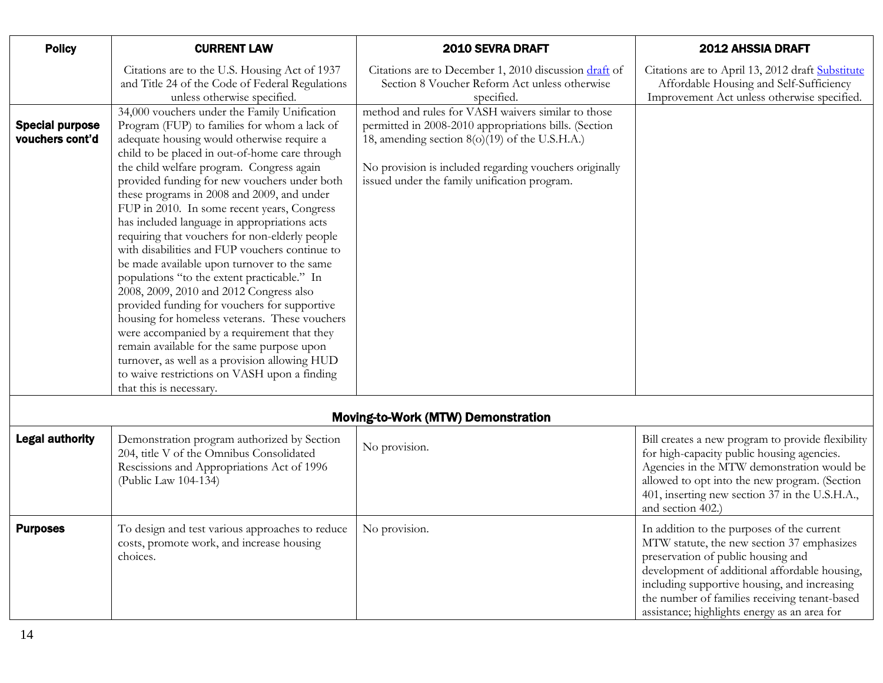| <b>Policy</b>                             | <b>CURRENT LAW</b>                                                                                                                                                                                                                                                                                                                                                                                                                                                                                                                                                                                                                                                                  | 2010 SEVRA DRAFT                                                                                                                                                                                                                                                        | <b>2012 AHSSIA DRAFT</b>                                                                                                                   |
|-------------------------------------------|-------------------------------------------------------------------------------------------------------------------------------------------------------------------------------------------------------------------------------------------------------------------------------------------------------------------------------------------------------------------------------------------------------------------------------------------------------------------------------------------------------------------------------------------------------------------------------------------------------------------------------------------------------------------------------------|-------------------------------------------------------------------------------------------------------------------------------------------------------------------------------------------------------------------------------------------------------------------------|--------------------------------------------------------------------------------------------------------------------------------------------|
|                                           | Citations are to the U.S. Housing Act of 1937<br>and Title 24 of the Code of Federal Regulations<br>unless otherwise specified.                                                                                                                                                                                                                                                                                                                                                                                                                                                                                                                                                     | Citations are to December 1, 2010 discussion draft of<br>Section 8 Voucher Reform Act unless otherwise<br>specified.                                                                                                                                                    | Citations are to April 13, 2012 draft Substitute<br>Affordable Housing and Self-Sufficiency<br>Improvement Act unless otherwise specified. |
| <b>Special purpose</b><br>vouchers cont'd | 34,000 vouchers under the Family Unification<br>Program (FUP) to families for whom a lack of<br>adequate housing would otherwise require a<br>child to be placed in out-of-home care through<br>the child welfare program. Congress again<br>provided funding for new vouchers under both<br>these programs in 2008 and 2009, and under<br>FUP in 2010. In some recent years, Congress<br>has included language in appropriations acts<br>requiring that vouchers for non-elderly people<br>with disabilities and FUP vouchers continue to<br>be made available upon turnover to the same<br>populations "to the extent practicable." In<br>2008, 2009, 2010 and 2012 Congress also | method and rules for VASH waivers similar to those<br>permitted in 2008-2010 appropriations bills. (Section<br>18, amending section 8(o)(19) of the U.S.H.A.)<br>No provision is included regarding vouchers originally<br>issued under the family unification program. |                                                                                                                                            |
|                                           | provided funding for vouchers for supportive<br>housing for homeless veterans. These vouchers<br>were accompanied by a requirement that they<br>remain available for the same purpose upon<br>turnover, as well as a provision allowing HUD<br>to waive restrictions on VASH upon a finding<br>that this is necessary.                                                                                                                                                                                                                                                                                                                                                              |                                                                                                                                                                                                                                                                         |                                                                                                                                            |
|                                           |                                                                                                                                                                                                                                                                                                                                                                                                                                                                                                                                                                                                                                                                                     | Moving-to-Work (MTW) Demonstration                                                                                                                                                                                                                                      |                                                                                                                                            |

| <b>Moving-to-Work (MTW) Demonstration</b> |  |
|-------------------------------------------|--|
|                                           |  |

<span id="page-13-1"></span><span id="page-13-0"></span>

| <b>Legal authority</b> | Demonstration program authorized by Section<br>204, title V of the Omnibus Consolidated<br>Rescissions and Appropriations Act of 1996<br>(Public Law 104-134) | No provision. | Bill creates a new program to provide flexibility<br>for high-capacity public housing agencies.<br>Agencies in the MTW demonstration would be<br>allowed to opt into the new program. (Section<br>401, inserting new section 37 in the U.S.H.A.,<br>and section 402.)                                                            |
|------------------------|---------------------------------------------------------------------------------------------------------------------------------------------------------------|---------------|----------------------------------------------------------------------------------------------------------------------------------------------------------------------------------------------------------------------------------------------------------------------------------------------------------------------------------|
| <b>Purposes</b>        | To design and test various approaches to reduce<br>costs, promote work, and increase housing<br>choices.                                                      | No provision. | In addition to the purposes of the current<br>MTW statute, the new section 37 emphasizes<br>preservation of public housing and<br>development of additional affordable housing,<br>including supportive housing, and increasing<br>the number of families receiving tenant-based<br>assistance; highlights energy as an area for |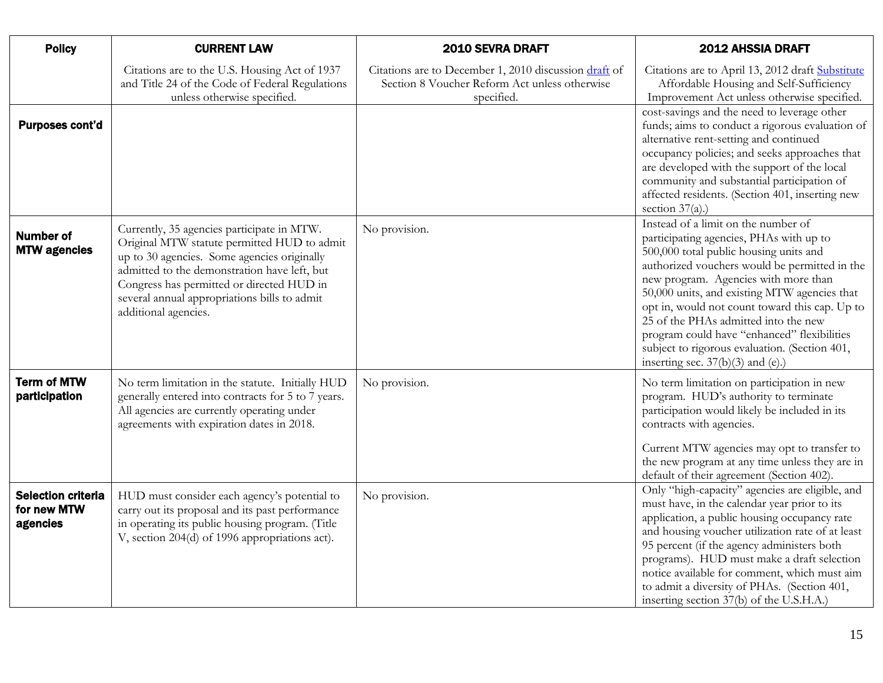<span id="page-14-2"></span><span id="page-14-1"></span><span id="page-14-0"></span>

| <b>Policy</b>                                        | <b>CURRENT LAW</b>                                                                                                                                                                                                                                                                                            | 2010 SEVRA DRAFT                                                                                                     | <b>2012 AHSSIA DRAFT</b>                                                                                                                                                                                                                                                                                                                                                                                                                                                                           |
|------------------------------------------------------|---------------------------------------------------------------------------------------------------------------------------------------------------------------------------------------------------------------------------------------------------------------------------------------------------------------|----------------------------------------------------------------------------------------------------------------------|----------------------------------------------------------------------------------------------------------------------------------------------------------------------------------------------------------------------------------------------------------------------------------------------------------------------------------------------------------------------------------------------------------------------------------------------------------------------------------------------------|
|                                                      | Citations are to the U.S. Housing Act of 1937<br>and Title 24 of the Code of Federal Regulations<br>unless otherwise specified.                                                                                                                                                                               | Citations are to December 1, 2010 discussion draft of<br>Section 8 Voucher Reform Act unless otherwise<br>specified. | Citations are to April 13, 2012 draft Substitute<br>Affordable Housing and Self-Sufficiency<br>Improvement Act unless otherwise specified.                                                                                                                                                                                                                                                                                                                                                         |
| Purposes cont'd                                      |                                                                                                                                                                                                                                                                                                               |                                                                                                                      | cost-savings and the need to leverage other<br>funds; aims to conduct a rigorous evaluation of<br>alternative rent-setting and continued<br>occupancy policies; and seeks approaches that<br>are developed with the support of the local<br>community and substantial participation of<br>affected residents. (Section 401, inserting new<br>section $37(a)$ .)                                                                                                                                    |
| <b>Number of</b><br><b>MTW agencies</b>              | Currently, 35 agencies participate in MTW.<br>Original MTW statute permitted HUD to admit<br>up to 30 agencies. Some agencies originally<br>admitted to the demonstration have left, but<br>Congress has permitted or directed HUD in<br>several annual appropriations bills to admit<br>additional agencies. | No provision.                                                                                                        | Instead of a limit on the number of<br>participating agencies, PHAs with up to<br>500,000 total public housing units and<br>authorized vouchers would be permitted in the<br>new program. Agencies with more than<br>50,000 units, and existing MTW agencies that<br>opt in, would not count toward this cap. Up to<br>25 of the PHAs admitted into the new<br>program could have "enhanced" flexibilities<br>subject to rigorous evaluation. (Section 401,<br>inserting sec. $37(b)(3)$ and (e).) |
| <b>Term of MTW</b><br>participation                  | No term limitation in the statute. Initially HUD<br>generally entered into contracts for 5 to 7 years.<br>All agencies are currently operating under<br>agreements with expiration dates in 2018.                                                                                                             | No provision.                                                                                                        | No term limitation on participation in new<br>program. HUD's authority to terminate<br>participation would likely be included in its<br>contracts with agencies.<br>Current MTW agencies may opt to transfer to<br>the new program at any time unless they are in<br>default of their agreement (Section 402).                                                                                                                                                                                     |
| <b>Selection criteria</b><br>for new MTW<br>agencies | HUD must consider each agency's potential to<br>carry out its proposal and its past performance<br>in operating its public housing program. (Title<br>V, section 204(d) of 1996 appropriations act).                                                                                                          | No provision.                                                                                                        | Only "high-capacity" agencies are eligible, and<br>must have, in the calendar year prior to its<br>application, a public housing occupancy rate<br>and housing voucher utilization rate of at least<br>95 percent (if the agency administers both<br>programs). HUD must make a draft selection<br>notice available for comment, which must aim<br>to admit a diversity of PHAs. (Section 401,<br>inserting section 37(b) of the U.S.H.A.)                                                         |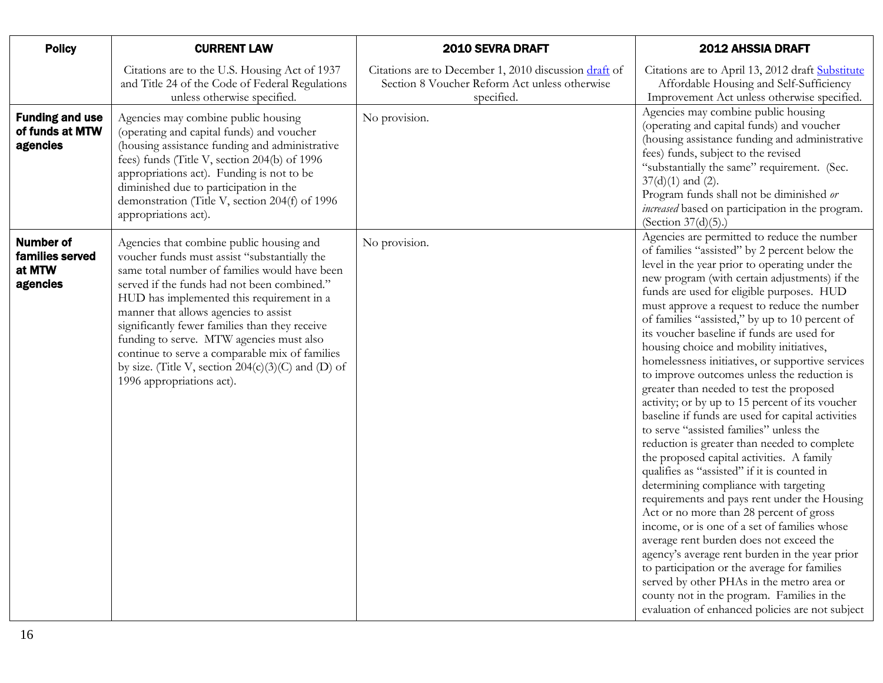<span id="page-15-1"></span><span id="page-15-0"></span>

| <b>Policy</b>                                             | <b>CURRENT LAW</b>                                                                                                                                                                                                                                                                                                                                                                                                                                                                                                  | 2010 SEVRA DRAFT                                                                                                     | 2012 AHSSIA DRAFT                                                                                                                                                                                                                                                                                                                                                                                                                                                                                                                                                                                                                                                                                                                                                                                                                                                                                                                                                                                                                                                                                                                                                                                                                                                                                                                                                    |
|-----------------------------------------------------------|---------------------------------------------------------------------------------------------------------------------------------------------------------------------------------------------------------------------------------------------------------------------------------------------------------------------------------------------------------------------------------------------------------------------------------------------------------------------------------------------------------------------|----------------------------------------------------------------------------------------------------------------------|----------------------------------------------------------------------------------------------------------------------------------------------------------------------------------------------------------------------------------------------------------------------------------------------------------------------------------------------------------------------------------------------------------------------------------------------------------------------------------------------------------------------------------------------------------------------------------------------------------------------------------------------------------------------------------------------------------------------------------------------------------------------------------------------------------------------------------------------------------------------------------------------------------------------------------------------------------------------------------------------------------------------------------------------------------------------------------------------------------------------------------------------------------------------------------------------------------------------------------------------------------------------------------------------------------------------------------------------------------------------|
|                                                           | Citations are to the U.S. Housing Act of 1937<br>and Title 24 of the Code of Federal Regulations<br>unless otherwise specified.                                                                                                                                                                                                                                                                                                                                                                                     | Citations are to December 1, 2010 discussion draft of<br>Section 8 Voucher Reform Act unless otherwise<br>specified. | Citations are to April 13, 2012 draft Substitute<br>Affordable Housing and Self-Sufficiency<br>Improvement Act unless otherwise specified.                                                                                                                                                                                                                                                                                                                                                                                                                                                                                                                                                                                                                                                                                                                                                                                                                                                                                                                                                                                                                                                                                                                                                                                                                           |
| <b>Funding and use</b><br>of funds at MTW<br>agencies     | Agencies may combine public housing<br>(operating and capital funds) and voucher<br>(housing assistance funding and administrative<br>fees) funds (Title V, section 204(b) of 1996<br>appropriations act). Funding is not to be<br>diminished due to participation in the<br>demonstration (Title V, section 204(f) of 1996<br>appropriations act).                                                                                                                                                                 | No provision.                                                                                                        | Agencies may combine public housing<br>(operating and capital funds) and voucher<br>(housing assistance funding and administrative<br>fees) funds, subject to the revised<br>"substantially the same" requirement. (Sec.<br>$37(d)(1)$ and $(2)$ .<br>Program funds shall not be diminished or<br>increased based on participation in the program.<br>(Section $37(d)(5)$ .)                                                                                                                                                                                                                                                                                                                                                                                                                                                                                                                                                                                                                                                                                                                                                                                                                                                                                                                                                                                         |
| <b>Number of</b><br>families served<br>at MTW<br>agencies | Agencies that combine public housing and<br>voucher funds must assist "substantially the<br>same total number of families would have been<br>served if the funds had not been combined."<br>HUD has implemented this requirement in a<br>manner that allows agencies to assist<br>significantly fewer families than they receive<br>funding to serve. MTW agencies must also<br>continue to serve a comparable mix of families<br>by size. (Title V, section $204(c)(3)(C)$ and (D) of<br>1996 appropriations act). | No provision.                                                                                                        | Agencies are permitted to reduce the number<br>of families "assisted" by 2 percent below the<br>level in the year prior to operating under the<br>new program (with certain adjustments) if the<br>funds are used for eligible purposes. HUD<br>must approve a request to reduce the number<br>of families "assisted," by up to 10 percent of<br>its voucher baseline if funds are used for<br>housing choice and mobility initiatives,<br>homelessness initiatives, or supportive services<br>to improve outcomes unless the reduction is<br>greater than needed to test the proposed<br>activity; or by up to 15 percent of its voucher<br>baseline if funds are used for capital activities<br>to serve "assisted families" unless the<br>reduction is greater than needed to complete<br>the proposed capital activities. A family<br>qualifies as "assisted" if it is counted in<br>determining compliance with targeting<br>requirements and pays rent under the Housing<br>Act or no more than 28 percent of gross<br>income, or is one of a set of families whose<br>average rent burden does not exceed the<br>agency's average rent burden in the year prior<br>to participation or the average for families<br>served by other PHAs in the metro area or<br>county not in the program. Families in the<br>evaluation of enhanced policies are not subject |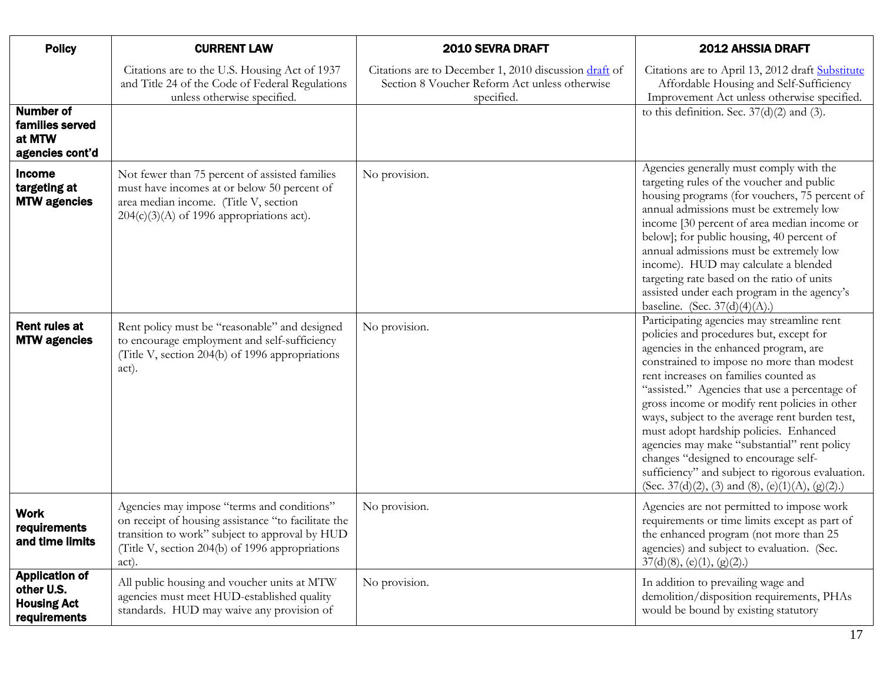<span id="page-16-2"></span><span id="page-16-1"></span><span id="page-16-0"></span>

| <b>Policy</b>                                                             | <b>CURRENT LAW</b>                                                                                                                                                                                              | 2010 SEVRA DRAFT                                                                                                     | 2012 AHSSIA DRAFT                                                                                                                                                                                                                                                                                                                                                                                                                                                                                                                                                                                                 |
|---------------------------------------------------------------------------|-----------------------------------------------------------------------------------------------------------------------------------------------------------------------------------------------------------------|----------------------------------------------------------------------------------------------------------------------|-------------------------------------------------------------------------------------------------------------------------------------------------------------------------------------------------------------------------------------------------------------------------------------------------------------------------------------------------------------------------------------------------------------------------------------------------------------------------------------------------------------------------------------------------------------------------------------------------------------------|
|                                                                           | Citations are to the U.S. Housing Act of 1937<br>and Title 24 of the Code of Federal Regulations<br>unless otherwise specified.                                                                                 | Citations are to December 1, 2010 discussion draft of<br>Section 8 Voucher Reform Act unless otherwise<br>specified. | Citations are to April 13, 2012 draft Substitute<br>Affordable Housing and Self-Sufficiency<br>Improvement Act unless otherwise specified.                                                                                                                                                                                                                                                                                                                                                                                                                                                                        |
| <b>Number of</b><br>families served<br>at MTW<br>agencies cont'd          |                                                                                                                                                                                                                 |                                                                                                                      | to this definition. Sec. $37(d)(2)$ and (3).                                                                                                                                                                                                                                                                                                                                                                                                                                                                                                                                                                      |
| Income<br>targeting at<br><b>MTW agencies</b>                             | Not fewer than 75 percent of assisted families<br>must have incomes at or below 50 percent of<br>area median income. (Title V, section<br>$204(c)(3)(A)$ of 1996 appropriations act).                           | No provision.                                                                                                        | Agencies generally must comply with the<br>targeting rules of the voucher and public<br>housing programs (for vouchers, 75 percent of<br>annual admissions must be extremely low<br>income [30 percent of area median income or<br>below]; for public housing, 40 percent of<br>annual admissions must be extremely low<br>income). HUD may calculate a blended<br>targeting rate based on the ratio of units<br>assisted under each program in the agency's<br>baseline. (Sec. $37(d)(4)(A)$ .)                                                                                                                  |
| Rent rules at<br><b>MTW agencies</b>                                      | Rent policy must be "reasonable" and designed<br>to encourage employment and self-sufficiency<br>(Title V, section 204(b) of 1996 appropriations<br>act).                                                       | No provision.                                                                                                        | Participating agencies may streamline rent<br>policies and procedures but, except for<br>agencies in the enhanced program, are<br>constrained to impose no more than modest<br>rent increases on families counted as<br>"assisted." Agencies that use a percentage of<br>gross income or modify rent policies in other<br>ways, subject to the average rent burden test,<br>must adopt hardship policies. Enhanced<br>agencies may make "substantial" rent policy<br>changes "designed to encourage self-<br>sufficiency" and subject to rigorous evaluation.<br>(Sec. 37(d)(2), (3) and (8), (e)(1)(A), (g)(2).) |
| <b>Work</b><br>requirements<br>and time limits                            | Agencies may impose "terms and conditions"<br>on receipt of housing assistance "to facilitate the<br>transition to work" subject to approval by HUD<br>(Title V, section 204(b) of 1996 appropriations<br>act). | No provision.                                                                                                        | Agencies are not permitted to impose work<br>requirements or time limits except as part of<br>the enhanced program (not more than 25<br>agencies) and subject to evaluation. (Sec.<br>$37(d)(8)$ , (e)(1), (g)(2).)                                                                                                                                                                                                                                                                                                                                                                                               |
| <b>Application of</b><br>other U.S.<br><b>Housing Act</b><br>requirements | All public housing and voucher units at MTW<br>agencies must meet HUD-established quality<br>standards. HUD may waive any provision of                                                                          | No provision.                                                                                                        | In addition to prevailing wage and<br>demolition/disposition requirements, PHAs<br>would be bound by existing statutory                                                                                                                                                                                                                                                                                                                                                                                                                                                                                           |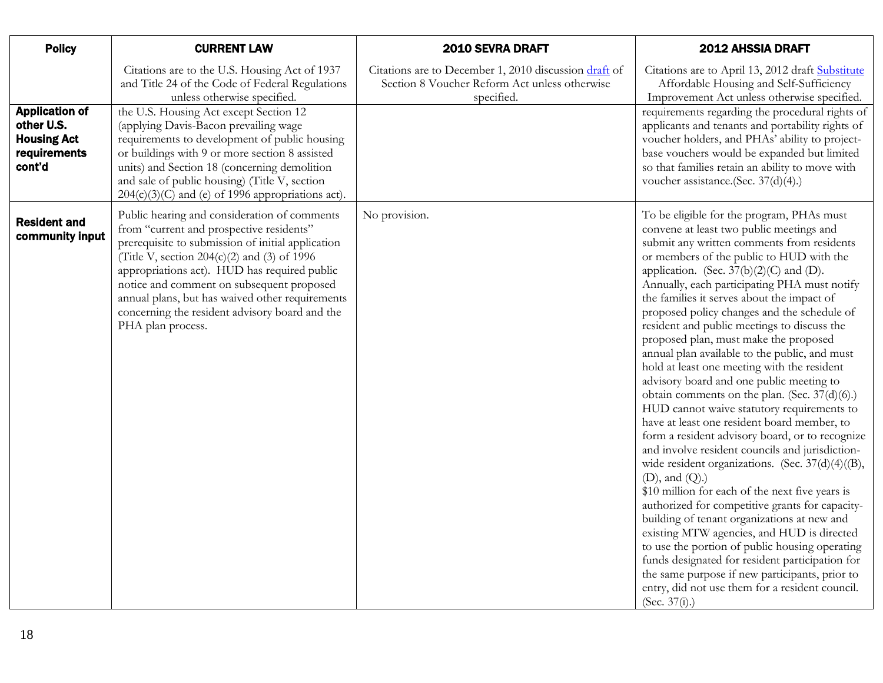<span id="page-17-0"></span>

| <b>Policy</b>                                                                       | <b>CURRENT LAW</b>                                                                                                                                                                                                                                                                                                                                                                                                                                                           | 2010 SEVRA DRAFT                                                                                                     | 2012 AHSSIA DRAFT                                                                                                                                                                                                                                                                                                                                                                                                                                                                                                                                                                                                                                                                                                                                                                                                                                                                                                                                                                                                                                                                                                                                                                                                                                                                                                                                                              |
|-------------------------------------------------------------------------------------|------------------------------------------------------------------------------------------------------------------------------------------------------------------------------------------------------------------------------------------------------------------------------------------------------------------------------------------------------------------------------------------------------------------------------------------------------------------------------|----------------------------------------------------------------------------------------------------------------------|--------------------------------------------------------------------------------------------------------------------------------------------------------------------------------------------------------------------------------------------------------------------------------------------------------------------------------------------------------------------------------------------------------------------------------------------------------------------------------------------------------------------------------------------------------------------------------------------------------------------------------------------------------------------------------------------------------------------------------------------------------------------------------------------------------------------------------------------------------------------------------------------------------------------------------------------------------------------------------------------------------------------------------------------------------------------------------------------------------------------------------------------------------------------------------------------------------------------------------------------------------------------------------------------------------------------------------------------------------------------------------|
| <b>Application of</b><br>other U.S.<br><b>Housing Act</b><br>requirements<br>cont'd | Citations are to the U.S. Housing Act of 1937<br>and Title 24 of the Code of Federal Regulations<br>unless otherwise specified.<br>the U.S. Housing Act except Section 12<br>(applying Davis-Bacon prevailing wage<br>requirements to development of public housing<br>or buildings with 9 or more section 8 assisted<br>units) and Section 18 (concerning demolition<br>and sale of public housing) (Title V, section                                                       | Citations are to December 1, 2010 discussion draft of<br>Section 8 Voucher Reform Act unless otherwise<br>specified. | Citations are to April 13, 2012 draft Substitute<br>Affordable Housing and Self-Sufficiency<br>Improvement Act unless otherwise specified.<br>requirements regarding the procedural rights of<br>applicants and tenants and portability rights of<br>voucher holders, and PHAs' ability to project-<br>base vouchers would be expanded but limited<br>so that families retain an ability to move with<br>voucher assistance.(Sec. 37(d)(4).)                                                                                                                                                                                                                                                                                                                                                                                                                                                                                                                                                                                                                                                                                                                                                                                                                                                                                                                                   |
| <b>Resident and</b><br>community input                                              | $204(c)(3)(C)$ and (e) of 1996 appropriations act).<br>Public hearing and consideration of comments<br>from "current and prospective residents"<br>prerequisite to submission of initial application<br>(Title V, section $204(c)(2)$ and (3) of 1996<br>appropriations act). HUD has required public<br>notice and comment on subsequent proposed<br>annual plans, but has waived other requirements<br>concerning the resident advisory board and the<br>PHA plan process. | No provision.                                                                                                        | To be eligible for the program, PHAs must<br>convene at least two public meetings and<br>submit any written comments from residents<br>or members of the public to HUD with the<br>application. (Sec. $37(b)(2)(C)$ and (D).<br>Annually, each participating PHA must notify<br>the families it serves about the impact of<br>proposed policy changes and the schedule of<br>resident and public meetings to discuss the<br>proposed plan, must make the proposed<br>annual plan available to the public, and must<br>hold at least one meeting with the resident<br>advisory board and one public meeting to<br>obtain comments on the plan. (Sec. 37(d)(6).)<br>HUD cannot waive statutory requirements to<br>have at least one resident board member, to<br>form a resident advisory board, or to recognize<br>and involve resident councils and jurisdiction-<br>wide resident organizations. (Sec. 37(d)(4)((B),<br>$(D)$ , and $(Q)$ .)<br>\$10 million for each of the next five years is<br>authorized for competitive grants for capacity-<br>building of tenant organizations at new and<br>existing MTW agencies, and HUD is directed<br>to use the portion of public housing operating<br>funds designated for resident participation for<br>the same purpose if new participants, prior to<br>entry, did not use them for a resident council.<br>(Sec. $37(i)$ .) |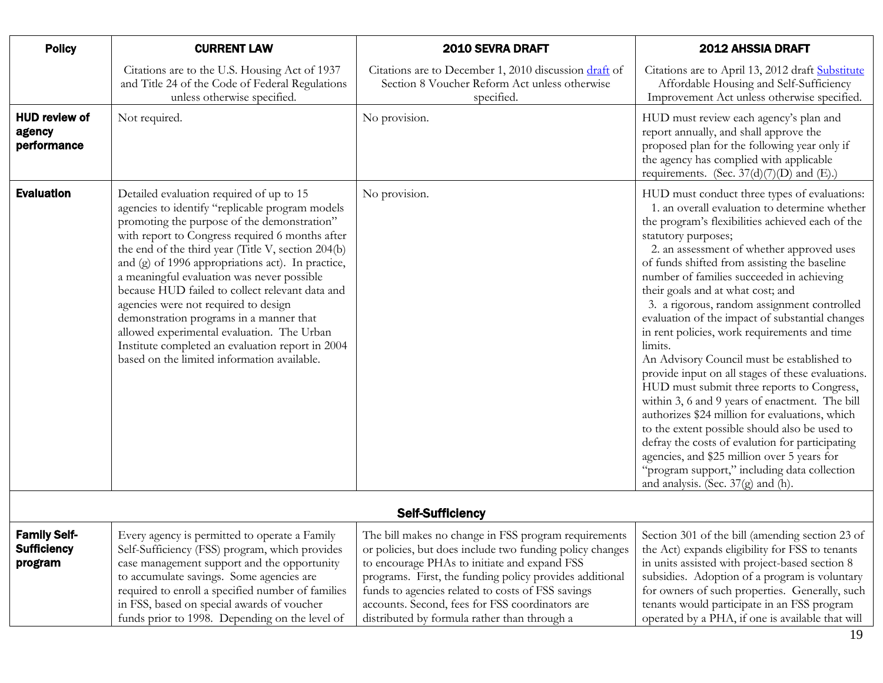<span id="page-18-1"></span><span id="page-18-0"></span>

| <b>Policy</b>                                 | <b>CURRENT LAW</b>                                                                                                                                                                                                                                                                                                                                                                                                                                                                                                                                                                                                                            | 2010 SEVRA DRAFT                                                                                                     | <b>2012 AHSSIA DRAFT</b>                                                                                                                                                                                                                                                                                                                                                                                                                                                                                                                                                                                                                                                                                                                                                                                                                                                                                                                                                                                             |
|-----------------------------------------------|-----------------------------------------------------------------------------------------------------------------------------------------------------------------------------------------------------------------------------------------------------------------------------------------------------------------------------------------------------------------------------------------------------------------------------------------------------------------------------------------------------------------------------------------------------------------------------------------------------------------------------------------------|----------------------------------------------------------------------------------------------------------------------|----------------------------------------------------------------------------------------------------------------------------------------------------------------------------------------------------------------------------------------------------------------------------------------------------------------------------------------------------------------------------------------------------------------------------------------------------------------------------------------------------------------------------------------------------------------------------------------------------------------------------------------------------------------------------------------------------------------------------------------------------------------------------------------------------------------------------------------------------------------------------------------------------------------------------------------------------------------------------------------------------------------------|
|                                               | Citations are to the U.S. Housing Act of 1937<br>and Title 24 of the Code of Federal Regulations<br>unless otherwise specified.                                                                                                                                                                                                                                                                                                                                                                                                                                                                                                               | Citations are to December 1, 2010 discussion draft of<br>Section 8 Voucher Reform Act unless otherwise<br>specified. | Citations are to April 13, 2012 draft Substitute<br>Affordable Housing and Self-Sufficiency<br>Improvement Act unless otherwise specified.                                                                                                                                                                                                                                                                                                                                                                                                                                                                                                                                                                                                                                                                                                                                                                                                                                                                           |
| <b>HUD review of</b><br>agency<br>performance | Not required.                                                                                                                                                                                                                                                                                                                                                                                                                                                                                                                                                                                                                                 | No provision.                                                                                                        | HUD must review each agency's plan and<br>report annually, and shall approve the<br>proposed plan for the following year only if<br>the agency has complied with applicable<br>requirements. (Sec. $37(d)(7)(D)$ and (E).)                                                                                                                                                                                                                                                                                                                                                                                                                                                                                                                                                                                                                                                                                                                                                                                           |
| <b>Evaluation</b>                             | Detailed evaluation required of up to 15<br>agencies to identify "replicable program models<br>promoting the purpose of the demonstration"<br>with report to Congress required 6 months after<br>the end of the third year (Title V, section 204(b)<br>and (g) of 1996 appropriations act). In practice,<br>a meaningful evaluation was never possible<br>because HUD failed to collect relevant data and<br>agencies were not required to design<br>demonstration programs in a manner that<br>allowed experimental evaluation. The Urban<br>Institute completed an evaluation report in 2004<br>based on the limited information available. | No provision.                                                                                                        | HUD must conduct three types of evaluations:<br>1. an overall evaluation to determine whether<br>the program's flexibilities achieved each of the<br>statutory purposes;<br>2. an assessment of whether approved uses<br>of funds shifted from assisting the baseline<br>number of families succeeded in achieving<br>their goals and at what cost; and<br>3. a rigorous, random assignment controlled<br>evaluation of the impact of substantial changes<br>in rent policies, work requirements and time<br>limits.<br>An Advisory Council must be established to<br>provide input on all stages of these evaluations.<br>HUD must submit three reports to Congress,<br>within 3, 6 and 9 years of enactment. The bill<br>authorizes \$24 million for evaluations, which<br>to the extent possible should also be used to<br>defray the costs of evalution for participating<br>agencies, and \$25 million over 5 years for<br>"program support," including data collection<br>and analysis. (Sec. $37(g)$ and (h). |

<span id="page-18-2"></span>

| <b>Self-Sufficiency</b>                              |                                                                                                                                                                                                                                                                                                                                                 |                                                                                                                                                                                                                                                                                                                                                                                     |                                                                                                                                                                                                                                                                                                                                                            |
|------------------------------------------------------|-------------------------------------------------------------------------------------------------------------------------------------------------------------------------------------------------------------------------------------------------------------------------------------------------------------------------------------------------|-------------------------------------------------------------------------------------------------------------------------------------------------------------------------------------------------------------------------------------------------------------------------------------------------------------------------------------------------------------------------------------|------------------------------------------------------------------------------------------------------------------------------------------------------------------------------------------------------------------------------------------------------------------------------------------------------------------------------------------------------------|
| <b>Family Self-</b><br><b>Sufficiency</b><br>program | Every agency is permitted to operate a Family<br>Self-Sufficiency (FSS) program, which provides<br>case management support and the opportunity<br>to accumulate savings. Some agencies are<br>required to enroll a specified number of families<br>in FSS, based on special awards of voucher<br>funds prior to 1998. Depending on the level of | The bill makes no change in FSS program requirements<br>or policies, but does include two funding policy changes<br>to encourage PHAs to initiate and expand FSS<br>programs. First, the funding policy provides additional<br>funds to agencies related to costs of FSS savings<br>accounts. Second, fees for FSS coordinators are<br>distributed by formula rather than through a | Section 301 of the bill (amending section 23 of<br>the Act) expands eligibility for FSS to tenants<br>in units assisted with project-based section 8<br>subsidies. Adoption of a program is voluntary<br>for owners of such properties. Generally, such<br>tenants would participate in an FSS program<br>operated by a PHA, if one is available that will |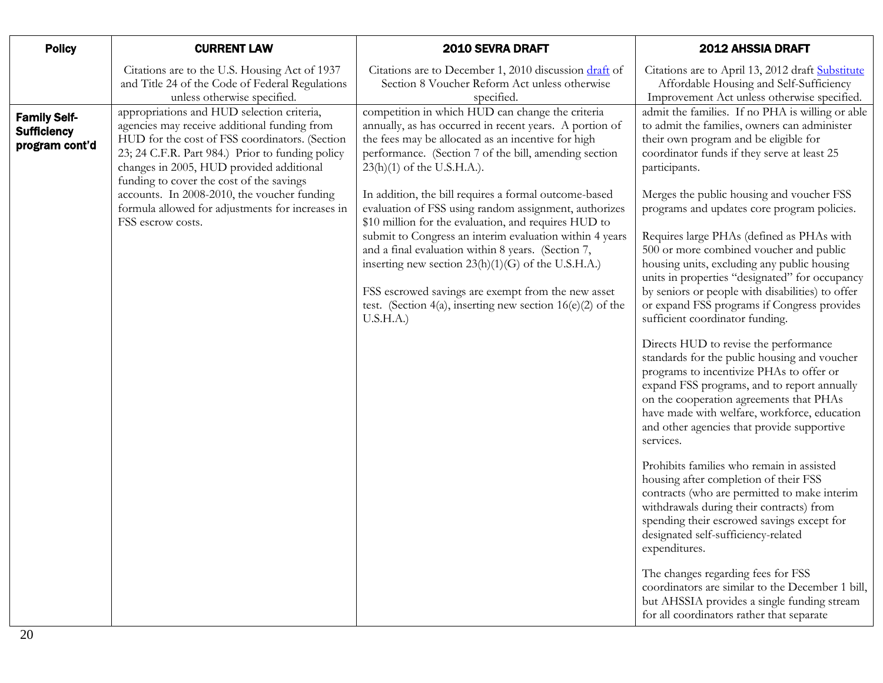| <b>Policy</b>                                               | <b>CURRENT LAW</b>                                                                                                                                                                                                                                                                                                                      | 2010 SEVRA DRAFT                                                                                                                                                                                                                                                                                                                                                                                                          | 2012 AHSSIA DRAFT                                                                                                                                                                                                                                                                                                                                                          |
|-------------------------------------------------------------|-----------------------------------------------------------------------------------------------------------------------------------------------------------------------------------------------------------------------------------------------------------------------------------------------------------------------------------------|---------------------------------------------------------------------------------------------------------------------------------------------------------------------------------------------------------------------------------------------------------------------------------------------------------------------------------------------------------------------------------------------------------------------------|----------------------------------------------------------------------------------------------------------------------------------------------------------------------------------------------------------------------------------------------------------------------------------------------------------------------------------------------------------------------------|
|                                                             | Citations are to the U.S. Housing Act of 1937<br>and Title 24 of the Code of Federal Regulations<br>unless otherwise specified.                                                                                                                                                                                                         | Citations are to December 1, 2010 discussion draft of<br>Section 8 Voucher Reform Act unless otherwise<br>specified.                                                                                                                                                                                                                                                                                                      | Citations are to April 13, 2012 draft Substitute<br>Affordable Housing and Self-Sufficiency<br>Improvement Act unless otherwise specified.                                                                                                                                                                                                                                 |
| <b>Family Self-</b><br><b>Sufficiency</b><br>program cont'd | appropriations and HUD selection criteria,<br>agencies may receive additional funding from<br>HUD for the cost of FSS coordinators. (Section<br>23; 24 C.F.R. Part 984.) Prior to funding policy<br>changes in 2005, HUD provided additional<br>funding to cover the cost of the savings<br>accounts. In 2008-2010, the voucher funding | competition in which HUD can change the criteria<br>annually, as has occurred in recent years. A portion of<br>the fees may be allocated as an incentive for high<br>performance. (Section 7 of the bill, amending section<br>$23(h)(1)$ of the U.S.H.A.).<br>In addition, the bill requires a formal outcome-based                                                                                                       | admit the families. If no PHA is willing or able<br>to admit the families, owners can administer<br>their own program and be eligible for<br>coordinator funds if they serve at least 25<br>participants.<br>Merges the public housing and voucher FSS                                                                                                                     |
|                                                             | formula allowed for adjustments for increases in<br>FSS escrow costs.                                                                                                                                                                                                                                                                   | evaluation of FSS using random assignment, authorizes<br>\$10 million for the evaluation, and requires HUD to<br>submit to Congress an interim evaluation within 4 years<br>and a final evaluation within 8 years. (Section 7,<br>inserting new section $23(h)(1)(G)$ of the U.S.H.A.)<br>FSS escrowed savings are exempt from the new asset<br>test. (Section 4(a), inserting new section $16(e)(2)$ of the<br>U.S.H.A.) | programs and updates core program policies.<br>Requires large PHAs (defined as PHAs with<br>500 or more combined voucher and public<br>housing units, excluding any public housing<br>units in properties "designated" for occupancy<br>by seniors or people with disabilities) to offer<br>or expand FSS programs if Congress provides<br>sufficient coordinator funding. |
|                                                             |                                                                                                                                                                                                                                                                                                                                         |                                                                                                                                                                                                                                                                                                                                                                                                                           | Directs HUD to revise the performance<br>standards for the public housing and voucher<br>programs to incentivize PHAs to offer or<br>expand FSS programs, and to report annually<br>on the cooperation agreements that PHAs<br>have made with welfare, workforce, education<br>and other agencies that provide supportive<br>services.                                     |
|                                                             |                                                                                                                                                                                                                                                                                                                                         |                                                                                                                                                                                                                                                                                                                                                                                                                           | Prohibits families who remain in assisted<br>housing after completion of their FSS<br>contracts (who are permitted to make interim<br>withdrawals during their contracts) from<br>spending their escrowed savings except for<br>designated self-sufficiency-related<br>expenditures.                                                                                       |
|                                                             |                                                                                                                                                                                                                                                                                                                                         |                                                                                                                                                                                                                                                                                                                                                                                                                           | The changes regarding fees for FSS<br>coordinators are similar to the December 1 bill,<br>but AHSSIA provides a single funding stream<br>for all coordinators rather that separate                                                                                                                                                                                         |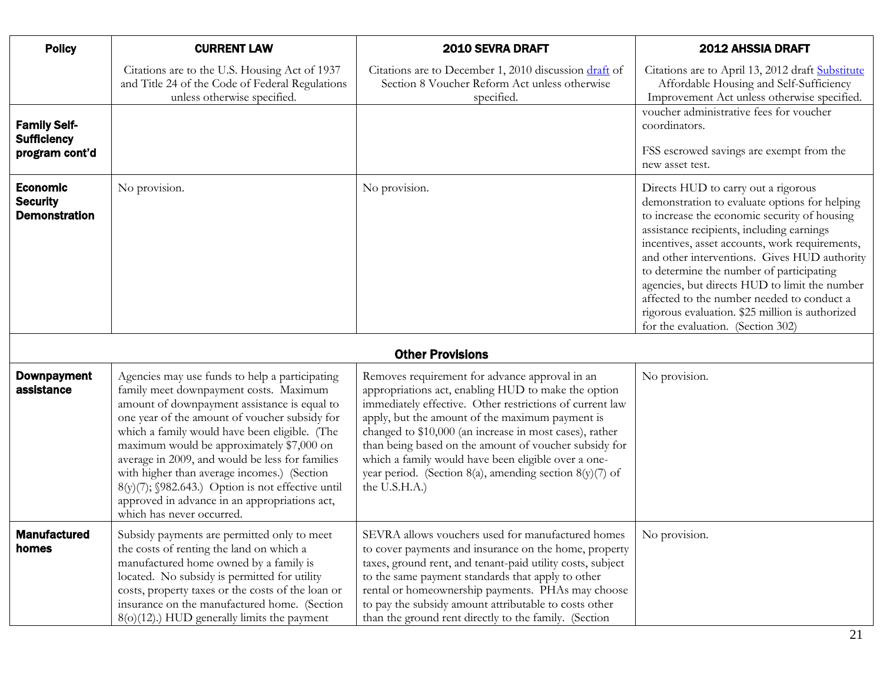<span id="page-20-2"></span><span id="page-20-1"></span><span id="page-20-0"></span>

| <b>Policy</b>                                               | <b>CURRENT LAW</b>                                                                                                                                                                                                                                                                                                                                                                                                                                                                                                           | 2010 SEVRA DRAFT                                                                                                                                                                                                                                                                                                                                                                                                                                                            | 2012 AHSSIA DRAFT                                                                                                                                                                                                                                                                                                                                                                                                                                                                                                                         |
|-------------------------------------------------------------|------------------------------------------------------------------------------------------------------------------------------------------------------------------------------------------------------------------------------------------------------------------------------------------------------------------------------------------------------------------------------------------------------------------------------------------------------------------------------------------------------------------------------|-----------------------------------------------------------------------------------------------------------------------------------------------------------------------------------------------------------------------------------------------------------------------------------------------------------------------------------------------------------------------------------------------------------------------------------------------------------------------------|-------------------------------------------------------------------------------------------------------------------------------------------------------------------------------------------------------------------------------------------------------------------------------------------------------------------------------------------------------------------------------------------------------------------------------------------------------------------------------------------------------------------------------------------|
|                                                             | Citations are to the U.S. Housing Act of 1937<br>and Title 24 of the Code of Federal Regulations<br>unless otherwise specified.                                                                                                                                                                                                                                                                                                                                                                                              | Citations are to December 1, 2010 discussion draft of<br>Section 8 Voucher Reform Act unless otherwise<br>specified.                                                                                                                                                                                                                                                                                                                                                        | Citations are to April 13, 2012 draft Substitute<br>Affordable Housing and Self-Sufficiency<br>Improvement Act unless otherwise specified.                                                                                                                                                                                                                                                                                                                                                                                                |
| <b>Family Self-</b><br><b>Sufficiency</b><br>program cont'd |                                                                                                                                                                                                                                                                                                                                                                                                                                                                                                                              |                                                                                                                                                                                                                                                                                                                                                                                                                                                                             | voucher administrative fees for voucher<br>coordinators.<br>FSS escrowed savings are exempt from the                                                                                                                                                                                                                                                                                                                                                                                                                                      |
| <b>Economic</b><br><b>Security</b><br><b>Demonstration</b>  | No provision.                                                                                                                                                                                                                                                                                                                                                                                                                                                                                                                | No provision.                                                                                                                                                                                                                                                                                                                                                                                                                                                               | new asset test.<br>Directs HUD to carry out a rigorous<br>demonstration to evaluate options for helping<br>to increase the economic security of housing<br>assistance recipients, including earnings<br>incentives, asset accounts, work requirements,<br>and other interventions. Gives HUD authority<br>to determine the number of participating<br>agencies, but directs HUD to limit the number<br>affected to the number needed to conduct a<br>rigorous evaluation. \$25 million is authorized<br>for the evaluation. (Section 302) |
|                                                             |                                                                                                                                                                                                                                                                                                                                                                                                                                                                                                                              | <b>Other Provisions</b>                                                                                                                                                                                                                                                                                                                                                                                                                                                     |                                                                                                                                                                                                                                                                                                                                                                                                                                                                                                                                           |
| <b>Downpayment</b><br>assistance                            | Agencies may use funds to help a participating<br>family meet downpayment costs. Maximum<br>amount of downpayment assistance is equal to<br>one year of the amount of voucher subsidy for<br>which a family would have been eligible. (The<br>maximum would be approximately \$7,000 on<br>average in 2009, and would be less for families<br>with higher than average incomes.) (Section<br>8(y)(7); §982.643.) Option is not effective until<br>approved in advance in an appropriations act,<br>which has never occurred. | Removes requirement for advance approval in an<br>appropriations act, enabling HUD to make the option<br>immediately effective. Other restrictions of current law<br>apply, but the amount of the maximum payment is<br>changed to \$10,000 (an increase in most cases), rather<br>than being based on the amount of voucher subsidy for<br>which a family would have been eligible over a one-<br>year period. (Section 8(a), amending section 8(y)(7) of<br>the U.S.H.A.) | No provision.                                                                                                                                                                                                                                                                                                                                                                                                                                                                                                                             |
| <b>Manufactured</b><br>homes                                | Subsidy payments are permitted only to meet<br>the costs of renting the land on which a<br>manufactured home owned by a family is<br>located. No subsidy is permitted for utility<br>costs, property taxes or the costs of the loan or<br>insurance on the manufactured home. (Section<br>$8(o)(12)$ .) HUD generally limits the payment                                                                                                                                                                                     | SEVRA allows vouchers used for manufactured homes<br>to cover payments and insurance on the home, property<br>taxes, ground rent, and tenant-paid utility costs, subject<br>to the same payment standards that apply to other<br>rental or homeownership payments. PHAs may choose<br>to pay the subsidy amount attributable to costs other<br>than the ground rent directly to the family. (Section                                                                        | No provision.                                                                                                                                                                                                                                                                                                                                                                                                                                                                                                                             |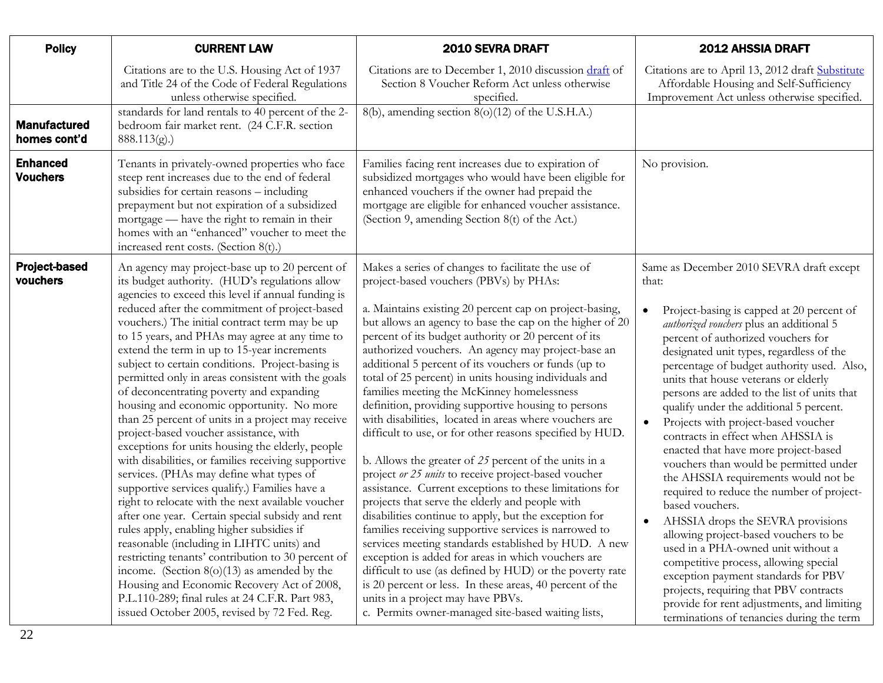<span id="page-21-1"></span><span id="page-21-0"></span>

| <b>Policy</b>                       | <b>CURRENT LAW</b>                                                                                                                                                                                                                                                                                                                                                                                                                                                                                                                                                                                                                                                                                                                                                                                                                                                                                                                                                                                                                                                                                                                                                                                                                                                                                                             | 2010 SEVRA DRAFT                                                                                                                                                                                                                                                                                                                                                                                                                                                                                                                                                                                                                                                                                                                                                                                                                                                                                                                                                                                                                                                                                                                                                                                                                                                                                                                                                  | 2012 AHSSIA DRAFT                                                                                                                                                                                                                                                                                                                                                                                                                                                                                                                                                                                                                                                                                                                                                                                                                                                                                                                                                                                                                                      |
|-------------------------------------|--------------------------------------------------------------------------------------------------------------------------------------------------------------------------------------------------------------------------------------------------------------------------------------------------------------------------------------------------------------------------------------------------------------------------------------------------------------------------------------------------------------------------------------------------------------------------------------------------------------------------------------------------------------------------------------------------------------------------------------------------------------------------------------------------------------------------------------------------------------------------------------------------------------------------------------------------------------------------------------------------------------------------------------------------------------------------------------------------------------------------------------------------------------------------------------------------------------------------------------------------------------------------------------------------------------------------------|-------------------------------------------------------------------------------------------------------------------------------------------------------------------------------------------------------------------------------------------------------------------------------------------------------------------------------------------------------------------------------------------------------------------------------------------------------------------------------------------------------------------------------------------------------------------------------------------------------------------------------------------------------------------------------------------------------------------------------------------------------------------------------------------------------------------------------------------------------------------------------------------------------------------------------------------------------------------------------------------------------------------------------------------------------------------------------------------------------------------------------------------------------------------------------------------------------------------------------------------------------------------------------------------------------------------------------------------------------------------|--------------------------------------------------------------------------------------------------------------------------------------------------------------------------------------------------------------------------------------------------------------------------------------------------------------------------------------------------------------------------------------------------------------------------------------------------------------------------------------------------------------------------------------------------------------------------------------------------------------------------------------------------------------------------------------------------------------------------------------------------------------------------------------------------------------------------------------------------------------------------------------------------------------------------------------------------------------------------------------------------------------------------------------------------------|
|                                     | Citations are to the U.S. Housing Act of 1937<br>and Title 24 of the Code of Federal Regulations<br>unless otherwise specified.                                                                                                                                                                                                                                                                                                                                                                                                                                                                                                                                                                                                                                                                                                                                                                                                                                                                                                                                                                                                                                                                                                                                                                                                | Citations are to December 1, 2010 discussion draft of<br>Section 8 Voucher Reform Act unless otherwise<br>specified.                                                                                                                                                                                                                                                                                                                                                                                                                                                                                                                                                                                                                                                                                                                                                                                                                                                                                                                                                                                                                                                                                                                                                                                                                                              | Citations are to April 13, 2012 draft Substitute<br>Affordable Housing and Self-Sufficiency<br>Improvement Act unless otherwise specified.                                                                                                                                                                                                                                                                                                                                                                                                                                                                                                                                                                                                                                                                                                                                                                                                                                                                                                             |
| <b>Manufactured</b><br>homes cont'd | standards for land rentals to 40 percent of the 2-<br>bedroom fair market rent. (24 C.F.R. section<br>888.113(g).                                                                                                                                                                                                                                                                                                                                                                                                                                                                                                                                                                                                                                                                                                                                                                                                                                                                                                                                                                                                                                                                                                                                                                                                              | 8(b), amending section 8(o)(12) of the U.S.H.A.)                                                                                                                                                                                                                                                                                                                                                                                                                                                                                                                                                                                                                                                                                                                                                                                                                                                                                                                                                                                                                                                                                                                                                                                                                                                                                                                  |                                                                                                                                                                                                                                                                                                                                                                                                                                                                                                                                                                                                                                                                                                                                                                                                                                                                                                                                                                                                                                                        |
| <b>Enhanced</b><br><b>Vouchers</b>  | Tenants in privately-owned properties who face<br>steep rent increases due to the end of federal<br>subsidies for certain reasons - including<br>prepayment but not expiration of a subsidized<br>mortgage - have the right to remain in their<br>homes with an "enhanced" voucher to meet the<br>increased rent costs. (Section 8(t).)                                                                                                                                                                                                                                                                                                                                                                                                                                                                                                                                                                                                                                                                                                                                                                                                                                                                                                                                                                                        | Families facing rent increases due to expiration of<br>subsidized mortgages who would have been eligible for<br>enhanced vouchers if the owner had prepaid the<br>mortgage are eligible for enhanced voucher assistance.<br>(Section 9, amending Section 8(t) of the Act.)                                                                                                                                                                                                                                                                                                                                                                                                                                                                                                                                                                                                                                                                                                                                                                                                                                                                                                                                                                                                                                                                                        | No provision.                                                                                                                                                                                                                                                                                                                                                                                                                                                                                                                                                                                                                                                                                                                                                                                                                                                                                                                                                                                                                                          |
| <b>Project-based</b><br>vouchers    | An agency may project-base up to 20 percent of<br>its budget authority. (HUD's regulations allow<br>agencies to exceed this level if annual funding is<br>reduced after the commitment of project-based<br>vouchers.) The initial contract term may be up<br>to 15 years, and PHAs may agree at any time to<br>extend the term in up to 15-year increments<br>subject to certain conditions. Project-basing is<br>permitted only in areas consistent with the goals<br>of deconcentrating poverty and expanding<br>housing and economic opportunity. No more<br>than 25 percent of units in a project may receive<br>project-based voucher assistance, with<br>exceptions for units housing the elderly, people<br>with disabilities, or families receiving supportive<br>services. (PHAs may define what types of<br>supportive services qualify.) Families have a<br>right to relocate with the next available voucher<br>after one year. Certain special subsidy and rent<br>rules apply, enabling higher subsidies if<br>reasonable (including in LIHTC units) and<br>restricting tenants' contribution to 30 percent of<br>income. (Section $8(0)(13)$ as amended by the<br>Housing and Economic Recovery Act of 2008,<br>P.L.110-289; final rules at 24 C.F.R. Part 983,<br>issued October 2005, revised by 72 Fed. Reg. | Makes a series of changes to facilitate the use of<br>project-based vouchers (PBVs) by PHAs:<br>a. Maintains existing 20 percent cap on project-basing,<br>but allows an agency to base the cap on the higher of 20<br>percent of its budget authority or 20 percent of its<br>authorized vouchers. An agency may project-base an<br>additional 5 percent of its vouchers or funds (up to<br>total of 25 percent) in units housing individuals and<br>families meeting the McKinney homelessness<br>definition, providing supportive housing to persons<br>with disabilities, located in areas where vouchers are<br>difficult to use, or for other reasons specified by HUD.<br>b. Allows the greater of $25$ percent of the units in a<br>project or 25 units to receive project-based voucher<br>assistance. Current exceptions to these limitations for<br>projects that serve the elderly and people with<br>disabilities continue to apply, but the exception for<br>families receiving supportive services is narrowed to<br>services meeting standards established by HUD. A new<br>exception is added for areas in which vouchers are<br>difficult to use (as defined by HUD) or the poverty rate<br>is 20 percent or less. In these areas, 40 percent of the<br>units in a project may have PBVs.<br>c. Permits owner-managed site-based waiting lists, | Same as December 2010 SEVRA draft except<br>that:<br>Project-basing is capped at 20 percent of<br>$\bullet$<br>authorized vouchers plus an additional 5<br>percent of authorized vouchers for<br>designated unit types, regardless of the<br>percentage of budget authority used. Also,<br>units that house veterans or elderly<br>persons are added to the list of units that<br>qualify under the additional 5 percent.<br>Projects with project-based voucher<br>$\bullet$<br>contracts in effect when AHSSIA is<br>enacted that have more project-based<br>vouchers than would be permitted under<br>the AHSSIA requirements would not be<br>required to reduce the number of project-<br>based vouchers.<br>AHSSIA drops the SEVRA provisions<br>allowing project-based vouchers to be<br>used in a PHA-owned unit without a<br>competitive process, allowing special<br>exception payment standards for PBV<br>projects, requiring that PBV contracts<br>provide for rent adjustments, and limiting<br>terminations of tenancies during the term |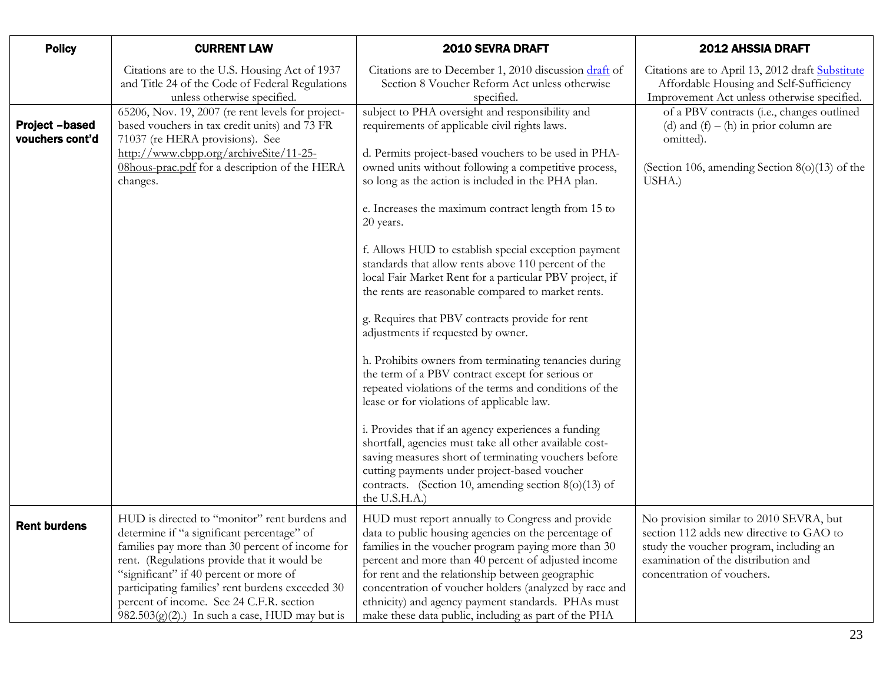<span id="page-22-0"></span>

| <b>Policy</b>                            | <b>CURRENT LAW</b>                                                                                                                                                                                                                                                                                                                                                                           | 2010 SEVRA DRAFT                                                                                                                                                                                                                                                                                                                                                                                                                                                                                                                                                                                                                                                                                                                                                                                                                                                                                                                                                                                                                                                                                                                                                             | <b>2012 AHSSIA DRAFT</b>                                                                                                                                                                            |
|------------------------------------------|----------------------------------------------------------------------------------------------------------------------------------------------------------------------------------------------------------------------------------------------------------------------------------------------------------------------------------------------------------------------------------------------|------------------------------------------------------------------------------------------------------------------------------------------------------------------------------------------------------------------------------------------------------------------------------------------------------------------------------------------------------------------------------------------------------------------------------------------------------------------------------------------------------------------------------------------------------------------------------------------------------------------------------------------------------------------------------------------------------------------------------------------------------------------------------------------------------------------------------------------------------------------------------------------------------------------------------------------------------------------------------------------------------------------------------------------------------------------------------------------------------------------------------------------------------------------------------|-----------------------------------------------------------------------------------------------------------------------------------------------------------------------------------------------------|
|                                          | Citations are to the U.S. Housing Act of 1937<br>and Title 24 of the Code of Federal Regulations<br>unless otherwise specified.                                                                                                                                                                                                                                                              | Citations are to December 1, 2010 discussion draft of<br>Section 8 Voucher Reform Act unless otherwise<br>specified.                                                                                                                                                                                                                                                                                                                                                                                                                                                                                                                                                                                                                                                                                                                                                                                                                                                                                                                                                                                                                                                         | Citations are to April 13, 2012 draft Substitute<br>Affordable Housing and Self-Sufficiency<br>Improvement Act unless otherwise specified.                                                          |
| <b>Project -based</b><br>vouchers cont'd | 65206, Nov. 19, 2007 (re rent levels for project-<br>based vouchers in tax credit units) and 73 FR<br>71037 (re HERA provisions). See<br>http://www.cbpp.org/archiveSite/11-25-<br>08hous-prac.pdf for a description of the HERA<br>changes.                                                                                                                                                 | subject to PHA oversight and responsibility and<br>requirements of applicable civil rights laws.<br>d. Permits project-based vouchers to be used in PHA-<br>owned units without following a competitive process,<br>so long as the action is included in the PHA plan.<br>e. Increases the maximum contract length from 15 to<br>20 years.<br>f. Allows HUD to establish special exception payment<br>standards that allow rents above 110 percent of the<br>local Fair Market Rent for a particular PBV project, if<br>the rents are reasonable compared to market rents.<br>g. Requires that PBV contracts provide for rent<br>adjustments if requested by owner.<br>h. Prohibits owners from terminating tenancies during<br>the term of a PBV contract except for serious or<br>repeated violations of the terms and conditions of the<br>lease or for violations of applicable law.<br>i. Provides that if an agency experiences a funding<br>shortfall, agencies must take all other available cost-<br>saving measures short of terminating vouchers before<br>cutting payments under project-based voucher<br>contracts. (Section 10, amending section $8(0)(13)$ of | of a PBV contracts (i.e., changes outlined<br>(d) and $(f) - (h)$ in prior column are<br>omitted).<br>(Section 106, amending Section $8(0)(13)$ of the<br>USHA.)                                    |
|                                          |                                                                                                                                                                                                                                                                                                                                                                                              | the U.S.H.A.)                                                                                                                                                                                                                                                                                                                                                                                                                                                                                                                                                                                                                                                                                                                                                                                                                                                                                                                                                                                                                                                                                                                                                                |                                                                                                                                                                                                     |
| <b>Rent burdens</b>                      | HUD is directed to "monitor" rent burdens and<br>determine if "a significant percentage" of<br>families pay more than 30 percent of income for<br>rent. (Regulations provide that it would be<br>"significant" if 40 percent or more of<br>participating families' rent burdens exceeded 30<br>percent of income. See 24 C.F.R. section<br>$982.503(g)(2)$ .) In such a case, HUD may but is | HUD must report annually to Congress and provide<br>data to public housing agencies on the percentage of<br>families in the voucher program paying more than 30<br>percent and more than 40 percent of adjusted income<br>for rent and the relationship between geographic<br>concentration of voucher holders (analyzed by race and<br>ethnicity) and agency payment standards. PHAs must<br>make these data public, including as part of the PHA                                                                                                                                                                                                                                                                                                                                                                                                                                                                                                                                                                                                                                                                                                                           | No provision similar to 2010 SEVRA, but<br>section 112 adds new directive to GAO to<br>study the voucher program, including an<br>examination of the distribution and<br>concentration of vouchers. |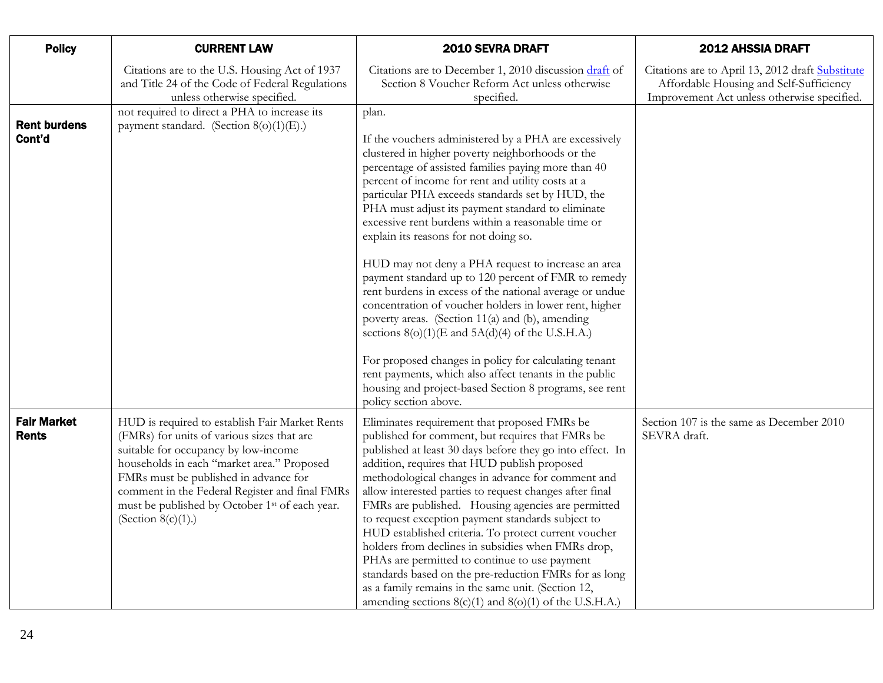<span id="page-23-0"></span>

| <b>Policy</b>                      | <b>CURRENT LAW</b>                                                                                                                                                                                                                                                                                                                                                   | 2010 SEVRA DRAFT                                                                                                                                                                                                                                                                                                                                                                                                                                                                                                                                                                                                                                                                                                                                                                                                                                                                                                                                                                          | <b>2012 AHSSIA DRAFT</b>                                                                                                                   |
|------------------------------------|----------------------------------------------------------------------------------------------------------------------------------------------------------------------------------------------------------------------------------------------------------------------------------------------------------------------------------------------------------------------|-------------------------------------------------------------------------------------------------------------------------------------------------------------------------------------------------------------------------------------------------------------------------------------------------------------------------------------------------------------------------------------------------------------------------------------------------------------------------------------------------------------------------------------------------------------------------------------------------------------------------------------------------------------------------------------------------------------------------------------------------------------------------------------------------------------------------------------------------------------------------------------------------------------------------------------------------------------------------------------------|--------------------------------------------------------------------------------------------------------------------------------------------|
|                                    | Citations are to the U.S. Housing Act of 1937<br>and Title 24 of the Code of Federal Regulations<br>unless otherwise specified.                                                                                                                                                                                                                                      | Citations are to December 1, 2010 discussion draft of<br>Section 8 Voucher Reform Act unless otherwise<br>specified.                                                                                                                                                                                                                                                                                                                                                                                                                                                                                                                                                                                                                                                                                                                                                                                                                                                                      | Citations are to April 13, 2012 draft Substitute<br>Affordable Housing and Self-Sufficiency<br>Improvement Act unless otherwise specified. |
| <b>Rent burdens</b><br>Cont'd      | not required to direct a PHA to increase its<br>payment standard. (Section 8(o)(1)(E).)                                                                                                                                                                                                                                                                              | plan.<br>If the vouchers administered by a PHA are excessively<br>clustered in higher poverty neighborhoods or the<br>percentage of assisted families paying more than 40<br>percent of income for rent and utility costs at a<br>particular PHA exceeds standards set by HUD, the<br>PHA must adjust its payment standard to eliminate<br>excessive rent burdens within a reasonable time or<br>explain its reasons for not doing so.<br>HUD may not deny a PHA request to increase an area<br>payment standard up to 120 percent of FMR to remedy<br>rent burdens in excess of the national average or undue<br>concentration of voucher holders in lower rent, higher<br>poverty areas. (Section 11(a) and (b), amending<br>sections $8(0)(1)(E$ and $5A(d)(4)$ of the U.S.H.A.)<br>For proposed changes in policy for calculating tenant<br>rent payments, which also affect tenants in the public<br>housing and project-based Section 8 programs, see rent<br>policy section above. |                                                                                                                                            |
| <b>Fair Market</b><br><b>Rents</b> | HUD is required to establish Fair Market Rents<br>(FMRs) for units of various sizes that are<br>suitable for occupancy by low-income<br>households in each "market area." Proposed<br>FMRs must be published in advance for<br>comment in the Federal Register and final FMRs<br>must be published by October 1 <sup>st</sup> of each year.<br>(Section $8(c)(1)$ .) | Eliminates requirement that proposed FMRs be<br>published for comment, but requires that FMRs be<br>published at least 30 days before they go into effect. In<br>addition, requires that HUD publish proposed<br>methodological changes in advance for comment and<br>allow interested parties to request changes after final<br>FMRs are published. Housing agencies are permitted<br>to request exception payment standards subject to<br>HUD established criteria. To protect current voucher<br>holders from declines in subsidies when FMRs drop,<br>PHAs are permitted to continue to use payment<br>standards based on the pre-reduction FMRs for as long<br>as a family remains in the same unit. (Section 12,<br>amending sections $8(c)(1)$ and $8(o)(1)$ of the U.S.H.A.)                                                                                                                                                                                                      | Section 107 is the same as December 2010<br>SEVRA draft.                                                                                   |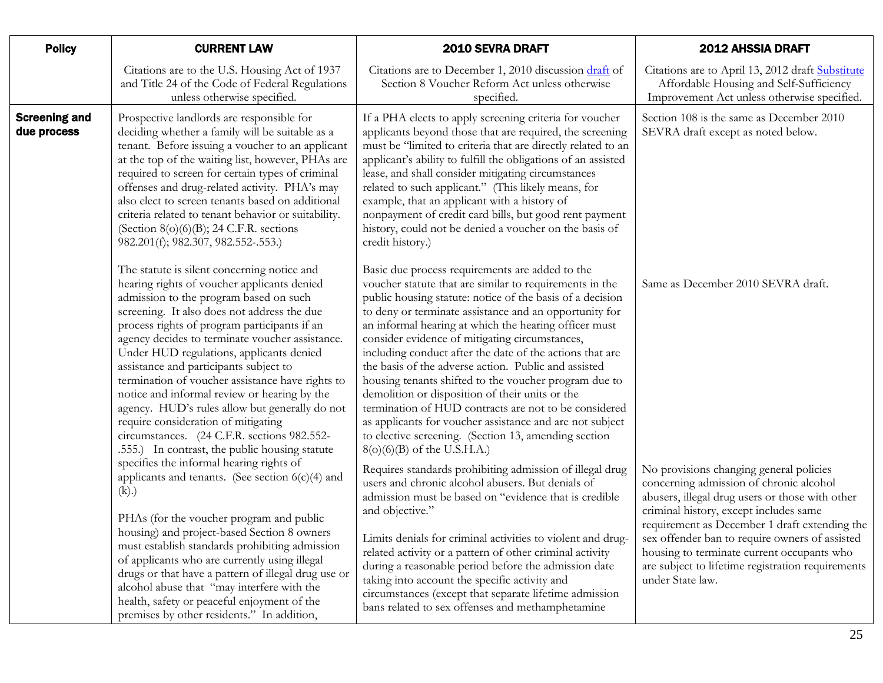<span id="page-24-0"></span>

| <b>Policy</b>                                                                                                                                                                                                                                                                                                                                                                                                                                                                                          | <b>CURRENT LAW</b>                                                                                                                                                                                                                                                                                                                                                                                                                                                                                                                                                                                                                                                         | 2010 SEVRA DRAFT                                                                                                                                                                                                                                                                                                                                                                                                                                                                                                                                                                                                                                                                                                                                                                           | 2012 AHSSIA DRAFT                                                                                                                          |
|--------------------------------------------------------------------------------------------------------------------------------------------------------------------------------------------------------------------------------------------------------------------------------------------------------------------------------------------------------------------------------------------------------------------------------------------------------------------------------------------------------|----------------------------------------------------------------------------------------------------------------------------------------------------------------------------------------------------------------------------------------------------------------------------------------------------------------------------------------------------------------------------------------------------------------------------------------------------------------------------------------------------------------------------------------------------------------------------------------------------------------------------------------------------------------------------|--------------------------------------------------------------------------------------------------------------------------------------------------------------------------------------------------------------------------------------------------------------------------------------------------------------------------------------------------------------------------------------------------------------------------------------------------------------------------------------------------------------------------------------------------------------------------------------------------------------------------------------------------------------------------------------------------------------------------------------------------------------------------------------------|--------------------------------------------------------------------------------------------------------------------------------------------|
|                                                                                                                                                                                                                                                                                                                                                                                                                                                                                                        | Citations are to the U.S. Housing Act of 1937<br>and Title 24 of the Code of Federal Regulations<br>unless otherwise specified.                                                                                                                                                                                                                                                                                                                                                                                                                                                                                                                                            | Citations are to December 1, 2010 discussion draft of<br>Section 8 Voucher Reform Act unless otherwise<br>specified.                                                                                                                                                                                                                                                                                                                                                                                                                                                                                                                                                                                                                                                                       | Citations are to April 13, 2012 draft Substitute<br>Affordable Housing and Self-Sufficiency<br>Improvement Act unless otherwise specified. |
| <b>Screening and</b><br>due process                                                                                                                                                                                                                                                                                                                                                                                                                                                                    | Prospective landlords are responsible for<br>deciding whether a family will be suitable as a<br>tenant. Before issuing a voucher to an applicant<br>at the top of the waiting list, however, PHAs are<br>required to screen for certain types of criminal<br>offenses and drug-related activity. PHA's may<br>also elect to screen tenants based on additional<br>criteria related to tenant behavior or suitability.<br>(Section $8(o)(6)(B)$ ; 24 C.F.R. sections<br>982.201(f); 982.307, 982.552-.553.)                                                                                                                                                                 | If a PHA elects to apply screening criteria for voucher<br>applicants beyond those that are required, the screening<br>must be "limited to criteria that are directly related to an<br>applicant's ability to fulfill the obligations of an assisted<br>lease, and shall consider mitigating circumstances<br>related to such applicant." (This likely means, for<br>example, that an applicant with a history of<br>nonpayment of credit card bills, but good rent payment<br>history, could not be denied a voucher on the basis of<br>credit history.)                                                                                                                                                                                                                                  | Section 108 is the same as December 2010<br>SEVRA draft except as noted below.                                                             |
|                                                                                                                                                                                                                                                                                                                                                                                                                                                                                                        | The statute is silent concerning notice and<br>hearing rights of voucher applicants denied<br>admission to the program based on such<br>screening. It also does not address the due<br>process rights of program participants if an<br>agency decides to terminate voucher assistance.<br>Under HUD regulations, applicants denied<br>assistance and participants subject to<br>termination of voucher assistance have rights to<br>notice and informal review or hearing by the<br>agency. HUD's rules allow but generally do not<br>require consideration of mitigating<br>circumstances. (24 C.F.R. sections 982.552-<br>.555.) In contrast, the public housing statute | Basic due process requirements are added to the<br>voucher statute that are similar to requirements in the<br>public housing statute: notice of the basis of a decision<br>to deny or terminate assistance and an opportunity for<br>an informal hearing at which the hearing officer must<br>consider evidence of mitigating circumstances,<br>including conduct after the date of the actions that are<br>the basis of the adverse action. Public and assisted<br>housing tenants shifted to the voucher program due to<br>demolition or disposition of their units or the<br>termination of HUD contracts are not to be considered<br>as applicants for voucher assistance and are not subject<br>to elective screening. (Section 13, amending section<br>$8(o)(6)(B)$ of the U.S.H.A.) | Same as December 2010 SEVRA draft.                                                                                                         |
| specifies the informal hearing rights of<br>applicants and tenants. (See section $6(c)(4)$ and<br>(k).<br>PHAs (for the voucher program and public<br>housing) and project-based Section 8 owners<br>must establish standards prohibiting admission<br>of applicants who are currently using illegal<br>drugs or that have a pattern of illegal drug use or<br>alcohol abuse that "may interfere with the<br>health, safety or peaceful enjoyment of the<br>premises by other residents." In addition, | Requires standards prohibiting admission of illegal drug<br>users and chronic alcohol abusers. But denials of<br>admission must be based on "evidence that is credible<br>and objective."<br>Limits denials for criminal activities to violent and drug-<br>related activity or a pattern of other criminal activity<br>during a reasonable period before the admission date<br>taking into account the specific activity and<br>circumstances (except that separate lifetime admission<br>bans related to sex offenses and methamphetamine                                                                                                                                | No provisions changing general policies<br>concerning admission of chronic alcohol<br>abusers, illegal drug users or those with other<br>criminal history, except includes same<br>requirement as December 1 draft extending the<br>sex offender ban to require owners of assisted<br>housing to terminate current occupants who<br>are subject to lifetime registration requirements<br>under State law.                                                                                                                                                                                                                                                                                                                                                                                  |                                                                                                                                            |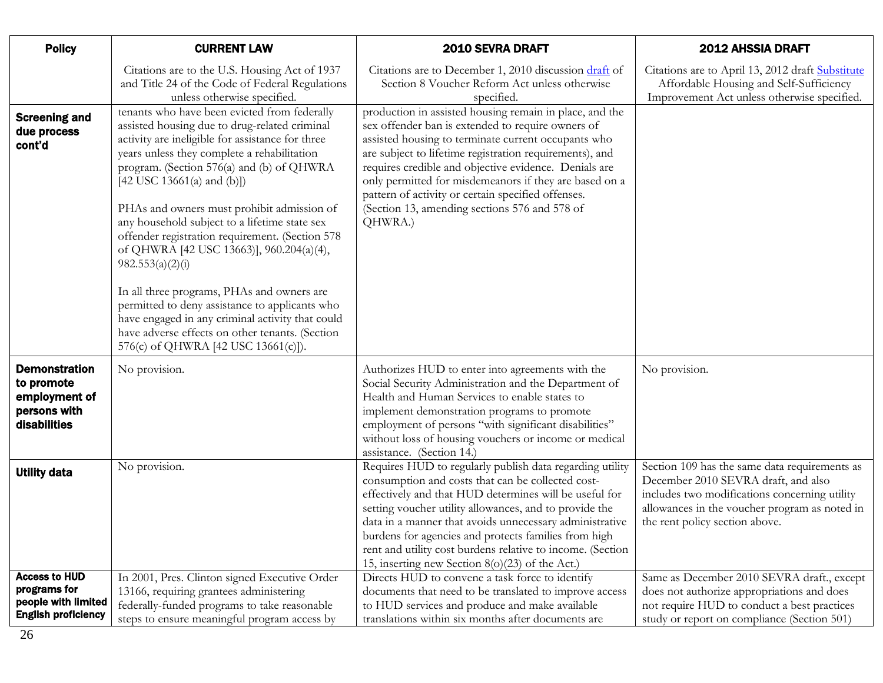<span id="page-25-2"></span><span id="page-25-1"></span><span id="page-25-0"></span>

| <b>Policy</b>                                                                             | <b>CURRENT LAW</b>                                                                                                                                                                                                                                                                                                                                                                                                                                                                                                                                                                                                                                                                                                                            | 2010 SEVRA DRAFT                                                                                                                                                                                                                                                                                                                                                                                                                                                      | <b>2012 AHSSIA DRAFT</b>                                                                                                                                                                                                 |
|-------------------------------------------------------------------------------------------|-----------------------------------------------------------------------------------------------------------------------------------------------------------------------------------------------------------------------------------------------------------------------------------------------------------------------------------------------------------------------------------------------------------------------------------------------------------------------------------------------------------------------------------------------------------------------------------------------------------------------------------------------------------------------------------------------------------------------------------------------|-----------------------------------------------------------------------------------------------------------------------------------------------------------------------------------------------------------------------------------------------------------------------------------------------------------------------------------------------------------------------------------------------------------------------------------------------------------------------|--------------------------------------------------------------------------------------------------------------------------------------------------------------------------------------------------------------------------|
|                                                                                           | Citations are to the U.S. Housing Act of 1937<br>and Title 24 of the Code of Federal Regulations<br>unless otherwise specified.                                                                                                                                                                                                                                                                                                                                                                                                                                                                                                                                                                                                               | Citations are to December 1, 2010 discussion draft of<br>Section 8 Voucher Reform Act unless otherwise<br>specified.                                                                                                                                                                                                                                                                                                                                                  | Citations are to April 13, 2012 draft Substitute<br>Affordable Housing and Self-Sufficiency<br>Improvement Act unless otherwise specified.                                                                               |
| <b>Screening and</b><br>due process<br>cont'd                                             | tenants who have been evicted from federally<br>assisted housing due to drug-related criminal<br>activity are ineligible for assistance for three<br>years unless they complete a rehabilitation<br>program. (Section 576(a) and (b) of QHWRA<br>$[42$ USC 13661(a) and (b)])<br>PHAs and owners must prohibit admission of<br>any household subject to a lifetime state sex<br>offender registration requirement. (Section 578<br>of QHWRA [42 USC 13663)], 960.204(a)(4),<br>982.553(a)(2)(i)<br>In all three programs, PHAs and owners are<br>permitted to deny assistance to applicants who<br>have engaged in any criminal activity that could<br>have adverse effects on other tenants. (Section<br>576(c) of QHWRA [42 USC 13661(c)]). | production in assisted housing remain in place, and the<br>sex offender ban is extended to require owners of<br>assisted housing to terminate current occupants who<br>are subject to lifetime registration requirements), and<br>requires credible and objective evidence. Denials are<br>only permitted for misdemeanors if they are based on a<br>pattern of activity or certain specified offenses.<br>(Section 13, amending sections 576 and 578 of<br>QHWRA.)   |                                                                                                                                                                                                                          |
| <b>Demonstration</b><br>to promote<br>employment of<br>persons with<br>disabilities       | No provision.                                                                                                                                                                                                                                                                                                                                                                                                                                                                                                                                                                                                                                                                                                                                 | Authorizes HUD to enter into agreements with the<br>Social Security Administration and the Department of<br>Health and Human Services to enable states to<br>implement demonstration programs to promote<br>employment of persons "with significant disabilities"<br>without loss of housing vouchers or income or medical<br>assistance. (Section 14.)                                                                                                               | No provision.                                                                                                                                                                                                            |
| <b>Utility data</b>                                                                       | No provision.                                                                                                                                                                                                                                                                                                                                                                                                                                                                                                                                                                                                                                                                                                                                 | Requires HUD to regularly publish data regarding utility<br>consumption and costs that can be collected cost-<br>effectively and that HUD determines will be useful for<br>setting voucher utility allowances, and to provide the<br>data in a manner that avoids unnecessary administrative<br>burdens for agencies and protects families from high<br>rent and utility cost burdens relative to income. (Section<br>15, inserting new Section 8(o)(23) of the Act.) | Section 109 has the same data requirements as<br>December 2010 SEVRA draft, and also<br>includes two modifications concerning utility<br>allowances in the voucher program as noted in<br>the rent policy section above. |
| <b>Access to HUD</b><br>programs for<br>people with limited<br><b>English proficiency</b> | In 2001, Pres. Clinton signed Executive Order<br>13166, requiring grantees administering<br>federally-funded programs to take reasonable<br>steps to ensure meaningful program access by                                                                                                                                                                                                                                                                                                                                                                                                                                                                                                                                                      | Directs HUD to convene a task force to identify<br>documents that need to be translated to improve access<br>to HUD services and produce and make available<br>translations within six months after documents are                                                                                                                                                                                                                                                     | Same as December 2010 SEVRA draft., except<br>does not authorize appropriations and does<br>not require HUD to conduct a best practices<br>study or report on compliance (Section 501)                                   |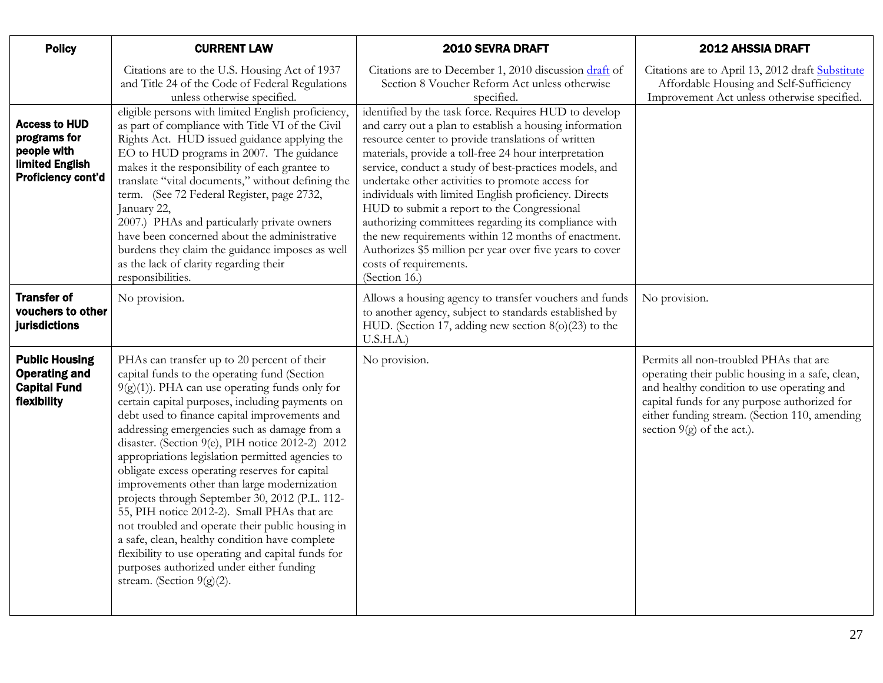<span id="page-26-1"></span><span id="page-26-0"></span>

| <b>Policy</b>                                                                                       | <b>CURRENT LAW</b>                                                                                                                                                                                                                                                                                                                                                                                                                                                                                                                                                                                                                                                                                                                                                                                                                                     | 2010 SEVRA DRAFT                                                                                                                                                                                                                                                                                                                                                                                                                                                                                                                                                                                                                                                            | <b>2012 AHSSIA DRAFT</b>                                                                                                                                                                                                                                                  |
|-----------------------------------------------------------------------------------------------------|--------------------------------------------------------------------------------------------------------------------------------------------------------------------------------------------------------------------------------------------------------------------------------------------------------------------------------------------------------------------------------------------------------------------------------------------------------------------------------------------------------------------------------------------------------------------------------------------------------------------------------------------------------------------------------------------------------------------------------------------------------------------------------------------------------------------------------------------------------|-----------------------------------------------------------------------------------------------------------------------------------------------------------------------------------------------------------------------------------------------------------------------------------------------------------------------------------------------------------------------------------------------------------------------------------------------------------------------------------------------------------------------------------------------------------------------------------------------------------------------------------------------------------------------------|---------------------------------------------------------------------------------------------------------------------------------------------------------------------------------------------------------------------------------------------------------------------------|
|                                                                                                     | Citations are to the U.S. Housing Act of 1937<br>and Title 24 of the Code of Federal Regulations<br>unless otherwise specified.                                                                                                                                                                                                                                                                                                                                                                                                                                                                                                                                                                                                                                                                                                                        | Citations are to December 1, 2010 discussion draft of<br>Section 8 Voucher Reform Act unless otherwise<br>specified.                                                                                                                                                                                                                                                                                                                                                                                                                                                                                                                                                        | Citations are to April 13, 2012 draft Substitute<br>Affordable Housing and Self-Sufficiency<br>Improvement Act unless otherwise specified.                                                                                                                                |
| <b>Access to HUD</b><br>programs for<br>people with<br><b>limited English</b><br>Proficiency cont'd | eligible persons with limited English proficiency,<br>as part of compliance with Title VI of the Civil<br>Rights Act. HUD issued guidance applying the<br>EO to HUD programs in 2007. The guidance<br>makes it the responsibility of each grantee to<br>translate "vital documents," without defining the<br>term. (See 72 Federal Register, page 2732,<br>January 22,<br>2007.) PHAs and particularly private owners<br>have been concerned about the administrative<br>burdens they claim the guidance imposes as well<br>as the lack of clarity regarding their<br>responsibilities.                                                                                                                                                                                                                                                                | identified by the task force. Requires HUD to develop<br>and carry out a plan to establish a housing information<br>resource center to provide translations of written<br>materials, provide a toll-free 24 hour interpretation<br>service, conduct a study of best-practices models, and<br>undertake other activities to promote access for<br>individuals with limited English proficiency. Directs<br>HUD to submit a report to the Congressional<br>authorizing committees regarding its compliance with<br>the new requirements within 12 months of enactment.<br>Authorizes \$5 million per year over five years to cover<br>costs of requirements.<br>(Section 16.) |                                                                                                                                                                                                                                                                           |
| <b>Transfer of</b><br>vouchers to other<br><b>jurisdictions</b>                                     | No provision.                                                                                                                                                                                                                                                                                                                                                                                                                                                                                                                                                                                                                                                                                                                                                                                                                                          | Allows a housing agency to transfer vouchers and funds<br>to another agency, subject to standards established by<br>HUD. (Section 17, adding new section $8(0)(23)$ to the<br>U.S.H.A.)                                                                                                                                                                                                                                                                                                                                                                                                                                                                                     | No provision.                                                                                                                                                                                                                                                             |
| <b>Public Housing</b><br><b>Operating and</b><br><b>Capital Fund</b><br>flexibility                 | PHAs can transfer up to 20 percent of their<br>capital funds to the operating fund (Section<br>$9(g)(1)$ ). PHA can use operating funds only for<br>certain capital purposes, including payments on<br>debt used to finance capital improvements and<br>addressing emergencies such as damage from a<br>disaster. (Section 9(e), PIH notice 2012-2) 2012<br>appropriations legislation permitted agencies to<br>obligate excess operating reserves for capital<br>improvements other than large modernization<br>projects through September 30, 2012 (P.L. 112-<br>55, PIH notice 2012-2). Small PHAs that are<br>not troubled and operate their public housing in<br>a safe, clean, healthy condition have complete<br>flexibility to use operating and capital funds for<br>purposes authorized under either funding<br>stream. (Section $9(g)(2)$ . | No provision.                                                                                                                                                                                                                                                                                                                                                                                                                                                                                                                                                                                                                                                               | Permits all non-troubled PHAs that are<br>operating their public housing in a safe, clean,<br>and healthy condition to use operating and<br>capital funds for any purpose authorized for<br>either funding stream. (Section 110, amending<br>section $9(g)$ of the act.). |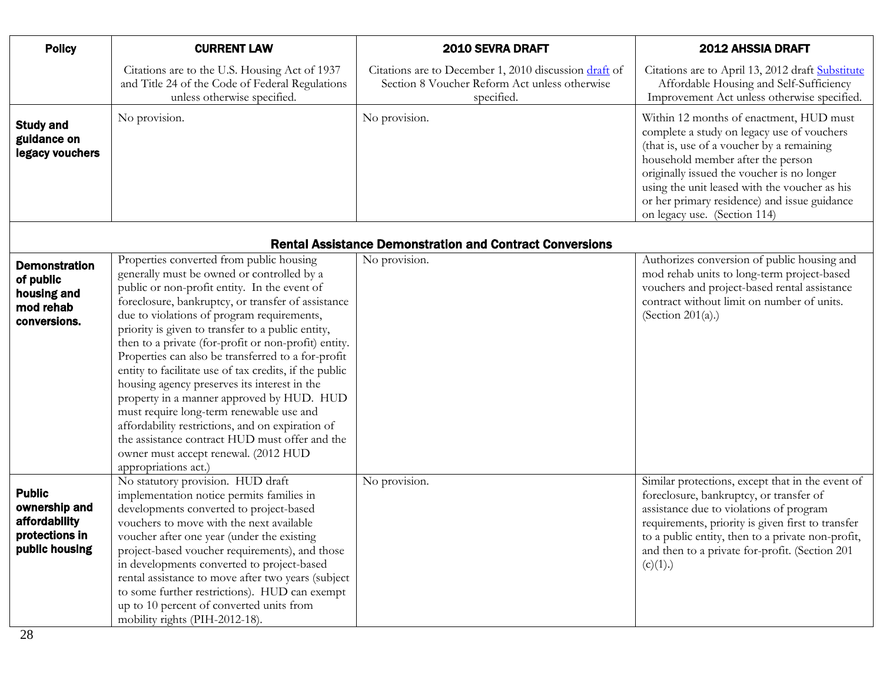<span id="page-27-0"></span>

| <b>Policy</b>                                      | <b>CURRENT LAW</b>                                                                                                              | <b>2010 SEVRA DRAFT</b>                                                                                              | 2012 AHSSIA DRAFT                                                                                                                                                                                                                                                                                                                                       |
|----------------------------------------------------|---------------------------------------------------------------------------------------------------------------------------------|----------------------------------------------------------------------------------------------------------------------|---------------------------------------------------------------------------------------------------------------------------------------------------------------------------------------------------------------------------------------------------------------------------------------------------------------------------------------------------------|
|                                                    | Citations are to the U.S. Housing Act of 1937<br>and Title 24 of the Code of Federal Regulations<br>unless otherwise specified. | Citations are to December 1, 2010 discussion draft of<br>Section 8 Voucher Reform Act unless otherwise<br>specified. | Citations are to April 13, 2012 draft Substitute<br>Affordable Housing and Self-Sufficiency<br>Improvement Act unless otherwise specified.                                                                                                                                                                                                              |
| <b>Study and</b><br>guidance on<br>legacy vouchers | No provision.                                                                                                                   | No provision.                                                                                                        | Within 12 months of enactment, HUD must<br>complete a study on legacy use of vouchers<br>(that is, use of a voucher by a remaining)<br>household member after the person<br>originally issued the voucher is no longer<br>using the unit leased with the voucher as his<br>or her primary residence) and issue guidance<br>on legacy use. (Section 114) |

#### Rental Assistance Demonstration and Contract Conversions

| <b>Demonstration</b><br>of public<br>housing and<br>mod rehab<br>conversions.       | Properties converted from public housing<br>generally must be owned or controlled by a<br>public or non-profit entity. In the event of<br>foreclosure, bankruptcy, or transfer of assistance<br>due to violations of program requirements,<br>priority is given to transfer to a public entity,<br>then to a private (for-profit or non-profit) entity.<br>Properties can also be transferred to a for-profit<br>entity to facilitate use of tax credits, if the public<br>housing agency preserves its interest in the<br>property in a manner approved by HUD. HUD<br>must require long-term renewable use and<br>affordability restrictions, and on expiration of<br>the assistance contract HUD must offer and the<br>owner must accept renewal. (2012 HUD<br>appropriations act.) | No provision. | Authorizes conversion of public housing and<br>mod rehab units to long-term project-based<br>vouchers and project-based rental assistance<br>contract without limit on number of units.<br>(Section 201 $(a)$ .)                                                                                              |
|-------------------------------------------------------------------------------------|----------------------------------------------------------------------------------------------------------------------------------------------------------------------------------------------------------------------------------------------------------------------------------------------------------------------------------------------------------------------------------------------------------------------------------------------------------------------------------------------------------------------------------------------------------------------------------------------------------------------------------------------------------------------------------------------------------------------------------------------------------------------------------------|---------------|---------------------------------------------------------------------------------------------------------------------------------------------------------------------------------------------------------------------------------------------------------------------------------------------------------------|
| <b>Public</b><br>ownership and<br>affordability<br>protections in<br>public housing | No statutory provision. HUD draft<br>implementation notice permits families in<br>developments converted to project-based<br>vouchers to move with the next available<br>voucher after one year (under the existing<br>project-based voucher requirements), and those<br>in developments converted to project-based<br>rental assistance to move after two years (subject<br>to some further restrictions). HUD can exempt<br>up to 10 percent of converted units from<br>mobility rights (PIH-2012-18).                                                                                                                                                                                                                                                                               | No provision. | Similar protections, except that in the event of<br>foreclosure, bankruptcy, or transfer of<br>assistance due to violations of program<br>requirements, priority is given first to transfer<br>to a public entity, then to a private non-profit,<br>and then to a private for-profit. (Section 201<br>(c)(1). |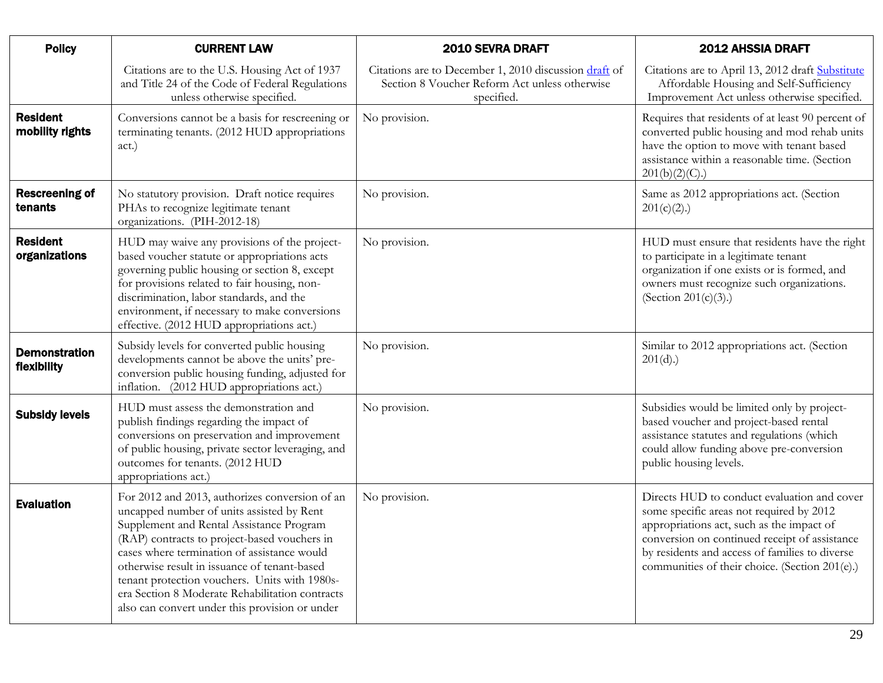| <b>Policy</b>                       | <b>CURRENT LAW</b>                                                                                                                                                                                                                                                                                                                                                                                                                           | 2010 SEVRA DRAFT                                                                                                     | <b>2012 AHSSIA DRAFT</b>                                                                                                                                                                                                                                                                  |
|-------------------------------------|----------------------------------------------------------------------------------------------------------------------------------------------------------------------------------------------------------------------------------------------------------------------------------------------------------------------------------------------------------------------------------------------------------------------------------------------|----------------------------------------------------------------------------------------------------------------------|-------------------------------------------------------------------------------------------------------------------------------------------------------------------------------------------------------------------------------------------------------------------------------------------|
|                                     | Citations are to the U.S. Housing Act of 1937<br>and Title 24 of the Code of Federal Regulations<br>unless otherwise specified.                                                                                                                                                                                                                                                                                                              | Citations are to December 1, 2010 discussion draft of<br>Section 8 Voucher Reform Act unless otherwise<br>specified. | Citations are to April 13, 2012 draft Substitute<br>Affordable Housing and Self-Sufficiency<br>Improvement Act unless otherwise specified.                                                                                                                                                |
| <b>Resident</b><br>mobility rights  | Conversions cannot be a basis for rescreening or<br>terminating tenants. (2012 HUD appropriations<br>act.)                                                                                                                                                                                                                                                                                                                                   | No provision.                                                                                                        | Requires that residents of at least 90 percent of<br>converted public housing and mod rehab units<br>have the option to move with tenant based<br>assistance within a reasonable time. (Section<br>201(b)(2)(C).                                                                          |
| <b>Rescreening of</b><br>tenants    | No statutory provision. Draft notice requires<br>PHAs to recognize legitimate tenant<br>organizations. (PIH-2012-18)                                                                                                                                                                                                                                                                                                                         | No provision.                                                                                                        | Same as 2012 appropriations act. (Section<br>$201(c)(2)$ .)                                                                                                                                                                                                                               |
| <b>Resident</b><br>organizations    | HUD may waive any provisions of the project-<br>based voucher statute or appropriations acts<br>governing public housing or section 8, except<br>for provisions related to fair housing, non-<br>discrimination, labor standards, and the<br>environment, if necessary to make conversions<br>effective. (2012 HUD appropriations act.)                                                                                                      | No provision.                                                                                                        | HUD must ensure that residents have the right<br>to participate in a legitimate tenant<br>organization if one exists or is formed, and<br>owners must recognize such organizations.<br>(Section 201 $(c)(3)$ .)                                                                           |
| <b>Demonstration</b><br>flexibility | Subsidy levels for converted public housing<br>developments cannot be above the units' pre-<br>conversion public housing funding, adjusted for<br>inflation. (2012 HUD appropriations act.)                                                                                                                                                                                                                                                  | No provision.                                                                                                        | Similar to 2012 appropriations act. (Section<br>201(d).                                                                                                                                                                                                                                   |
| <b>Subsidy levels</b>               | HUD must assess the demonstration and<br>publish findings regarding the impact of<br>conversions on preservation and improvement<br>of public housing, private sector leveraging, and<br>outcomes for tenants. (2012 HUD<br>appropriations act.)                                                                                                                                                                                             | No provision.                                                                                                        | Subsidies would be limited only by project-<br>based voucher and project-based rental<br>assistance statutes and regulations (which<br>could allow funding above pre-conversion<br>public housing levels.                                                                                 |
| <b>Evaluation</b>                   | For 2012 and 2013, authorizes conversion of an<br>uncapped number of units assisted by Rent<br>Supplement and Rental Assistance Program<br>(RAP) contracts to project-based vouchers in<br>cases where termination of assistance would<br>otherwise result in issuance of tenant-based<br>tenant protection vouchers. Units with 1980s-<br>era Section 8 Moderate Rehabilitation contracts<br>also can convert under this provision or under | No provision.                                                                                                        | Directs HUD to conduct evaluation and cover<br>some specific areas not required by 2012<br>appropriations act, such as the impact of<br>conversion on continued receipt of assistance<br>by residents and access of families to diverse<br>communities of their choice. (Section 201(e).) |